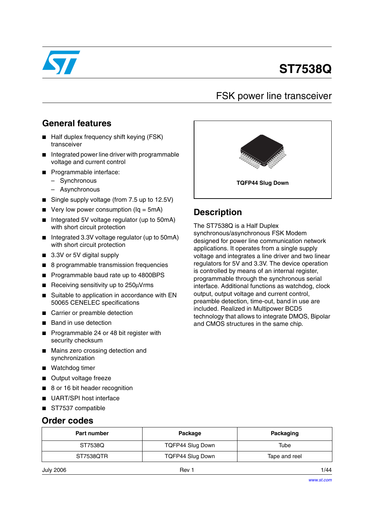

# **ST7538Q**

## FSK power line transceiver

### **General features**

- Half duplex frequency shift keying (FSK) transceiver
- Integrated power line driver with programmable voltage and current control
- Programmable interface:
	- Synchronous
	- Asynchronous
- Single supply voltage (from 7.5 up to 12.5V)
- Very low power consumption ( $Iq = 5mA$ )
- Integrated 5V voltage regulator (up to 50mA) with short circuit protection
- Integrated 3.3V voltage regulator (up to 50mA) with short circuit protection
- 3.3V or 5V digital supply
- 8 programmable transmission frequencies
- Programmable baud rate up to 4800BPS
- Receiving sensitivity up to 250µVrms
- Suitable to application in accordance with EN 50065 CENELEC specifications
- Carrier or preamble detection
- Band in use detection
- Programmable 24 or 48 bit register with security checksum
- Mains zero crossing detection and synchronization
- Watchdog timer
- Output voltage freeze
- 8 or 16 bit header recognition
- UART/SPI host interface
- ST7537 compatible

### **Order codes**

| <b>Part number</b> | Package          | Packaging     |  |
|--------------------|------------------|---------------|--|
| ST7538Q            | TQFP44 Slug Down | Tube          |  |
| ST7538QTR          | TQFP44 Slug Down | Tape and reel |  |
| July 2006          | Rev 1            | 1/44          |  |



## **Description**

The ST7538Q is a Half Duplex synchronous/asynchronous FSK Modem designed for power line communication network applications. It operates from a single supply voltage and integrates a line driver and two linear regulators for 5V and 3.3V. The device operation is controlled by means of an internal register, programmable through the synchronous serial interface. Additional functions as watchdog, clock output, output voltage and current control, preamble detection, time-out, band in use are included. Realized in Multipower BCD5 technology that allows to integrate DMOS, Bipolar and CMOS structures in the same chip.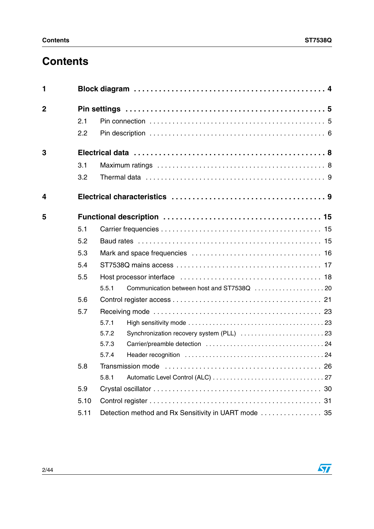# **Contents**

| 1              |      |                                                      |
|----------------|------|------------------------------------------------------|
| $\overline{2}$ |      |                                                      |
|                | 2.1  |                                                      |
|                | 2.2  |                                                      |
| 3              |      |                                                      |
|                | 3.1  |                                                      |
|                | 3.2  |                                                      |
| 4              |      |                                                      |
| 5              |      |                                                      |
|                | 5.1  |                                                      |
|                | 5.2  |                                                      |
|                | 5.3  |                                                      |
|                | 5.4  |                                                      |
|                | 5.5  |                                                      |
|                |      | 5.5.1                                                |
|                | 5.6  |                                                      |
|                | 5.7  |                                                      |
|                |      | 5.7.1                                                |
|                |      | 5.7.2                                                |
|                |      | 5.7.3                                                |
|                |      | 5.7.4                                                |
|                | 5.8  |                                                      |
|                |      | 5.8.1                                                |
|                | 5.9  |                                                      |
|                | 5.10 |                                                      |
|                | 5.11 | Detection method and Rx Sensitivity in UART mode  35 |

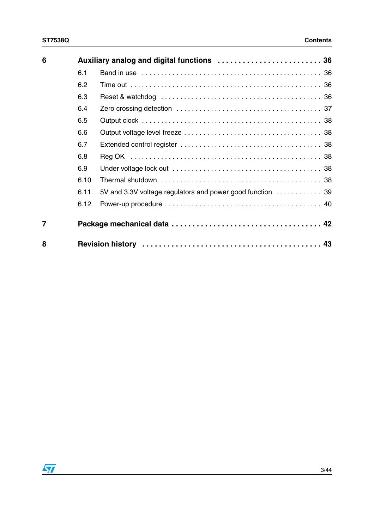| 6              |      |                                                            |
|----------------|------|------------------------------------------------------------|
|                | 6.1  |                                                            |
|                | 6.2  |                                                            |
|                | 6.3  |                                                            |
|                | 6.4  |                                                            |
|                | 6.5  |                                                            |
|                | 6.6  |                                                            |
|                | 6.7  |                                                            |
|                | 6.8  |                                                            |
|                | 6.9  |                                                            |
|                | 6.10 |                                                            |
|                | 6.11 | 5V and 3.3V voltage regulators and power good function  39 |
|                | 6.12 |                                                            |
| $\overline{7}$ |      |                                                            |
| 8              |      |                                                            |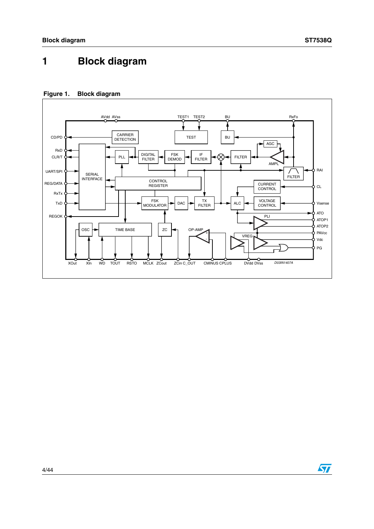# <span id="page-3-0"></span>**1 Block diagram**

### **Figure 1. Block diagram**



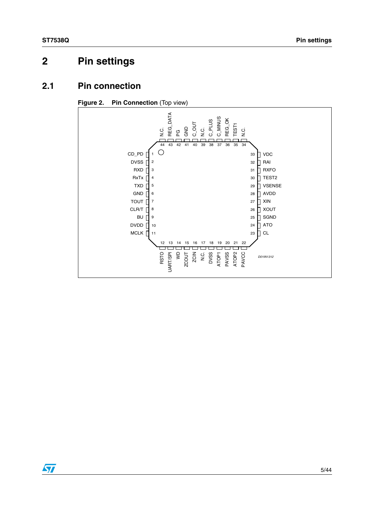# <span id="page-4-0"></span>**2 Pin settings**

### <span id="page-4-1"></span>**2.1 Pin connection**



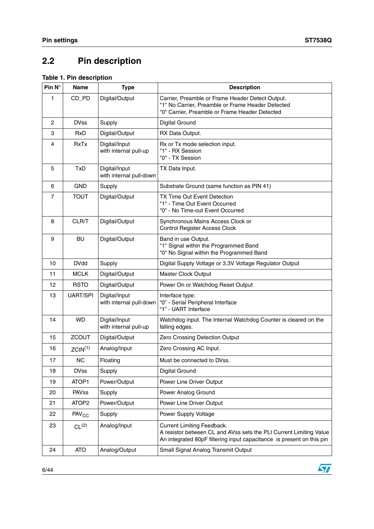$\sqrt{2}$ 

# <span id="page-5-0"></span>**2.2 Pin description**

#### **Table 1. Pin description**

| Pin N°         | <b>Name</b>         | <b>Type</b>                              | <b>Description</b>                                                                                                                                                        |
|----------------|---------------------|------------------------------------------|---------------------------------------------------------------------------------------------------------------------------------------------------------------------------|
| 1              | CD_PD               | Digital/Output                           | Carrier, Preamble or Frame Header Detect Output.<br>"1" No Carrier, Preamble or Frame Header Detected<br>"0" Carrier, Preamble or Frame Header Detected                   |
| $\overline{2}$ | <b>DVss</b>         | Supply                                   | <b>Digital Ground</b>                                                                                                                                                     |
| 3              | <b>RxD</b>          | Digital/Output                           | RX Data Output.                                                                                                                                                           |
| 4              | <b>RxTx</b>         | Digital/Input<br>with internal pull-up   | Rx or Tx mode selection input.<br>"1" - RX Session<br>"0" - TX Session                                                                                                    |
| 5              | <b>TxD</b>          | Digital/Input<br>with internal pull-down | TX Data Input.                                                                                                                                                            |
| 6              | <b>GND</b>          | Supply                                   | Substrate Ground (same function as PIN 41)                                                                                                                                |
| 7              | <b>TOUT</b>         | Digital/Output                           | TX Time Out Event Detection<br>"1" - Time Out Event Occurred<br>"0" - No Time-out Event Occurred                                                                          |
| 8              | CLR/T               | Digital/Output                           | Synchronous Mains Access Clock or<br>Control Register Access Clock                                                                                                        |
| 9              | <b>BU</b>           | Digital/Output                           | Band in use Output.<br>"1" Signal within the Programmed Band<br>"0" No Signal within the Programmed Band                                                                  |
| 10             | <b>DVdd</b>         | Supply                                   | Digital Supply Voltage or 3.3V Voltage Regulator Output                                                                                                                   |
| 11             | <b>MCLK</b>         | Digital/Output                           | <b>Master Clock Output</b>                                                                                                                                                |
| 12             | <b>RSTO</b>         | Digital/Output                           | Power On or Watchdog Reset Output                                                                                                                                         |
| 13             | <b>UART/SPI</b>     | Digital/Input<br>with internal pull-down | Interface type:<br>"0" - Serial Peripheral Interface<br>"1" - UART Interface                                                                                              |
| 14             | <b>WD</b>           | Digital/Input<br>with internal pull-up   | Watchdog input. The Internal Watchdog Counter is cleared on the<br>falling edges.                                                                                         |
| 15             | <b>ZCOUT</b>        | Digital/Output                           | Zero Crossing Detection Output                                                                                                                                            |
| 16             | ZCIN <sup>(1)</sup> | Analog/Input                             | Zero Crossing AC Input.                                                                                                                                                   |
| 17             | <b>NC</b>           | Floating                                 | Must be connected to DVss.                                                                                                                                                |
| 18             | <b>DVss</b>         | Supply                                   | Digital Ground                                                                                                                                                            |
| 19             | ATOP1               | Power/Output                             | Power Line Driver Output                                                                                                                                                  |
| 20             | PAVss               | Supply                                   | Power Analog Ground                                                                                                                                                       |
| 21             | ATOP <sub>2</sub>   | Power/Output                             | Power Line Driver Output                                                                                                                                                  |
| 22             | PAV <sub>CC</sub>   | Supply                                   | Power Supply Voltage                                                                                                                                                      |
| 23             | CL <sup>(2)</sup>   | Analog/Input                             | Current Limiting Feedback.<br>A resistor between CL and AVss sets the PLI Current Limiting Value<br>An integrated 80pF filtering input capacitance is present on this pin |
| 24             | <b>ATO</b>          | Analog/Output                            | Small Signal Analog Transmit Output                                                                                                                                       |

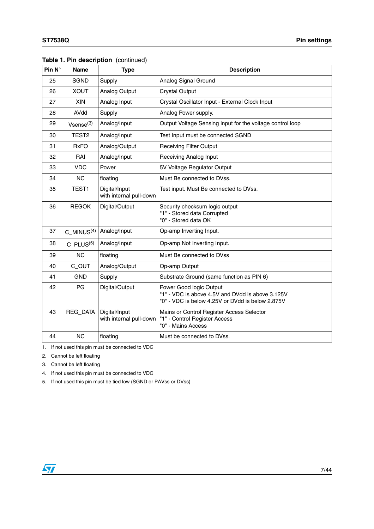| Pin $N^\circ$ | <b>Name</b>             | <b>Type</b>                              | <b>Description</b>                                                                                                              |
|---------------|-------------------------|------------------------------------------|---------------------------------------------------------------------------------------------------------------------------------|
| 25            | <b>SGND</b>             | Supply                                   | Analog Signal Ground                                                                                                            |
| 26            | <b>XOUT</b>             | <b>Analog Output</b>                     | <b>Crystal Output</b>                                                                                                           |
| 27            | <b>XIN</b>              | Analog Input                             | Crystal Oscillator Input - External Clock Input                                                                                 |
| 28            | AVdd                    | Supply                                   | Analog Power supply.                                                                                                            |
| 29            | $V$ sense $(3)$         | Analog/Input                             | Output Voltage Sensing input for the voltage control loop                                                                       |
| 30            | TEST <sub>2</sub>       | Analog/Input                             | Test Input must be connected SGND                                                                                               |
| 31            | <b>RxFO</b>             | Analog/Output                            | <b>Receiving Filter Output</b>                                                                                                  |
| 32            | RAI                     | Analog/Input                             | <b>Receiving Analog Input</b>                                                                                                   |
| 33            | <b>VDC</b>              | Power                                    | 5V Voltage Regulator Output                                                                                                     |
| 34            | <b>NC</b>               | floating                                 | Must Be connected to DVss.                                                                                                      |
| 35            | TEST1                   | Digital/Input<br>with internal pull-down | Test input. Must Be connected to DVss.                                                                                          |
| 36            | <b>REGOK</b>            | Digital/Output                           | Security checksum logic output<br>"1" - Stored data Corrupted<br>"0" - Stored data OK                                           |
| 37            | C $MINUS(4)$            | Analog/Input                             | Op-amp Inverting Input.                                                                                                         |
| 38            | $C$ PLUS <sup>(5)</sup> | Analog/Input                             | Op-amp Not Inverting Input.                                                                                                     |
| 39            | <b>NC</b>               | floating                                 | Must Be connected to DVss                                                                                                       |
| 40            | C_OUT                   | Analog/Output                            | Op-amp Output                                                                                                                   |
| 41            | <b>GND</b>              | Supply                                   | Substrate Ground (same function as PIN 6)                                                                                       |
| 42            | PG                      | Digital/Output                           | Power Good logic Output<br>"1" - VDC is above 4.5V and DVdd is above 3.125V<br>"0" - VDC is below 4.25V or DVdd is below 2.875V |
| 43            | REG_DATA                | Digital/Input<br>with internal pull-down | Mains or Control Register Access Selector<br>"1" - Control Register Access<br>"0" - Mains Access                                |
| 44            | <b>NC</b>               | floating                                 | Must be connected to DVss.                                                                                                      |

|  |  | Table 1. Pin description (continued) |  |
|--|--|--------------------------------------|--|
|--|--|--------------------------------------|--|

1. If not used this pin must be connected to VDC

- 2. Cannot be left floating
- 3. Cannot be left floating
- 4. If not used this pin must be connected to VDC
- 5. If not used this pin must be tied low (SGND or PAVss or DVss)

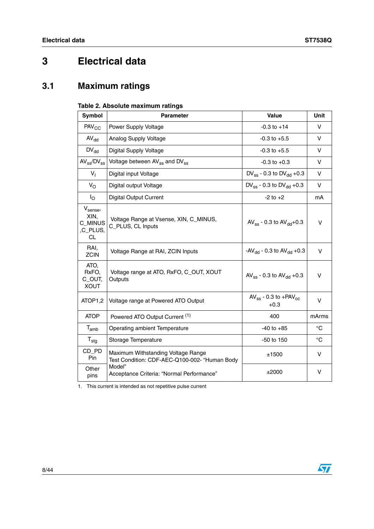# <span id="page-7-0"></span>**3 Electrical data**

# <span id="page-7-1"></span>**3.1 Maximum ratings**

#### **Table 2. Absolute maximum ratings**

| Symbol                                                         | <b>Parameter</b>                                                                    | Value                                                  | <b>Unit</b> |
|----------------------------------------------------------------|-------------------------------------------------------------------------------------|--------------------------------------------------------|-------------|
| <b>PAV<sub>CC</sub></b>                                        | Power Supply Voltage                                                                | $-0.3$ to $+14$                                        | v           |
| $AV_{dd}$                                                      | Analog Supply Voltage                                                               | $-0.3$ to $+5.5$                                       | V           |
| $DV_{dd}$                                                      | Digital Supply Voltage                                                              | $-0.3$ to $+5.5$                                       | V           |
| $AV_{ss}/DV_{ss}$                                              | Voltage between AV <sub>ss</sub> and DV <sub>ss</sub>                               | $-0.3$ to $+0.3$                                       | V           |
| $V_{I}$                                                        | Digital input Voltage                                                               | DV <sub>ss</sub> - 0.3 to DV <sub>dd</sub> + 0.3       | v           |
| $V_{\rm O}$                                                    | Digital output Voltage                                                              | DV <sub>ss</sub> - 0.3 to DV <sub>dd</sub> + 0.3       | v           |
| $\mathsf{I}_{\mathsf{O}}$                                      | <b>Digital Output Current</b>                                                       | $-2$ to $+2$                                           | mA          |
| $V_{\text{sense}}$<br>XIN.<br>C_MINUS<br>,C_PLUS,<br><b>CL</b> | Voltage Range at Vsense, XIN, C_MINUS,<br>C_PLUS, CL Inputs                         | $AV_{ss}$ - 0.3 to $AV_{dd}$ +0.3                      | $\vee$      |
| RAI.<br><b>ZCIN</b>                                            | Voltage Range at RAI, ZCIN Inputs                                                   | -AV <sub>dd</sub> - 0.3 to AV <sub>dd</sub> +0.3       | $\vee$      |
| ATO,<br>RxFO,<br>C_OUT,<br><b>XOUT</b>                         | Voltage range at ATO, RxFO, C_OUT, XOUT<br>Outputs                                  | AV <sub>ss</sub> - 0.3 to AV <sub>dd</sub> + 0.3       | v           |
| ATOP1,2                                                        | Voltage range at Powered ATO Output                                                 | AV <sub>ss</sub> - 0.3 to +PAV <sub>cc</sub><br>$+0.3$ | v           |
| <b>ATOP</b>                                                    | Powered ATO Output Current (1)                                                      | 400                                                    | mArms       |
| $T_{amb}$                                                      | Operating ambient Temperature                                                       | $-40$ to $+85$                                         | $^{\circ}C$ |
| $T_{\text{stg}}$                                               | Storage Temperature                                                                 | -50 to 150                                             | $^{\circ}C$ |
| CD_PD<br>Pin                                                   | Maximum Withstanding Voltage Range<br>Test Condition: CDF-AEC-Q100-002- "Human Body | ±1500                                                  | v           |
| Other<br>pins                                                  | Model"<br>Acceptance Criteria: "Normal Performance"                                 | ±2000                                                  | v           |

1. This current is intended as not repetitive pulse current

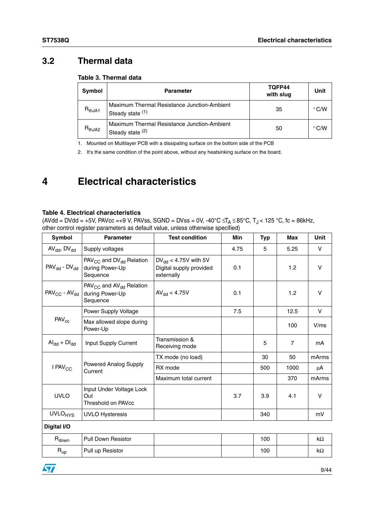### <span id="page-8-0"></span>**3.2 Thermal data**

#### **Table 3. Thermal data**

| Symbol      | <b>Parameter</b>                                                | TQFP44<br>with slug | Unit           |
|-------------|-----------------------------------------------------------------|---------------------|----------------|
| $R_{thJA1}$ | Maximum Thermal Resistance Junction-Ambient<br>Steady state (1) | 35                  | $^{\circ}$ C/W |
| $R_{thJA2}$ | Maximum Thermal Resistance Junction-Ambient<br>Steady state (2) | 50                  | $^{\circ}$ C/W |

1. Mounted on Multilayer PCB with a dissipating surface on the bottom side of the PCB

2. It's the same condition of the point above, without any heatsinking surface on the board.

# <span id="page-8-1"></span>**4 Electrical characteristics**

#### **Table 4. Electrical characteristics**

(AVdd = DVdd = +5V, PAVcc =+9 V, PAVss, SGND = DVss = 0V, -40°C  $\leq T_\mathsf{A} \leq$ 85°C, T $_\mathsf{J}$ < 125 °C, fc = 86kHz, other control register parameters as default value, unless otherwise specified)

| $AV_{dd}$ , $DV_{dd}$<br>5.25<br>5<br>Supply voltages<br>4.75<br>PAV <sub>CC</sub> and DV <sub>dd</sub> Relation<br>$DV_{dd}$ < 4.75V with 5V<br>$PAV_{dd}$ - $DV_{dd}$<br>0.1<br>1.2<br>during Power-Up<br>Digital supply provided<br>externally<br>Sequence | V<br>$\vee$<br>V |
|---------------------------------------------------------------------------------------------------------------------------------------------------------------------------------------------------------------------------------------------------------------|------------------|
|                                                                                                                                                                                                                                                               |                  |
|                                                                                                                                                                                                                                                               |                  |
| $PAV_{CC}$ and $AV_{dd}$ Relation<br>$PAV_{CC}$ - $AV_{dd}$<br>$AV_{dd} < 4.75V$<br>1.2<br>during Power-Up<br>0.1<br>Sequence                                                                                                                                 |                  |
| 7.5<br>12.5<br>Power Supply Voltage                                                                                                                                                                                                                           | V                |
| $PAV_{cc}$<br>Max allowed slope during<br>100<br>Power-Up                                                                                                                                                                                                     | V/ms             |
| Transmission &<br>$\mathsf{Al}_{\mathsf{dd}} + \mathsf{DI}_{\mathsf{dd}}$<br>Input Supply Current<br>5<br>$\overline{7}$<br>Receiving mode                                                                                                                    | mA               |
| TX mode (no load)<br>30<br>50                                                                                                                                                                                                                                 | mArms            |
| <b>Powered Analog Supply</b><br>I PAV <sub>CC</sub><br>RX mode<br>1000<br>500<br>Current                                                                                                                                                                      | μA               |
| 370<br>Maximum total current                                                                                                                                                                                                                                  | mArms            |
| Input Under Voltage Lock<br><b>UVLO</b><br>3.7<br>3.9<br>4.1<br>Out<br><b>Threshold on PAVcc</b>                                                                                                                                                              | V                |
| <b>UVLO<sub>HYS</sub></b><br><b>UVLO Hysteresis</b><br>340                                                                                                                                                                                                    | mV               |
| Digital I/O                                                                                                                                                                                                                                                   |                  |
| $R_{down}$<br><b>Pull Down Resistor</b><br>100                                                                                                                                                                                                                | $k\Omega$        |
| $R_{up}$<br>Pull up Resistor<br>100                                                                                                                                                                                                                           | kΩ               |

| ٧ |  |  |
|---|--|--|
|   |  |  |
|   |  |  |
|   |  |  |
|   |  |  |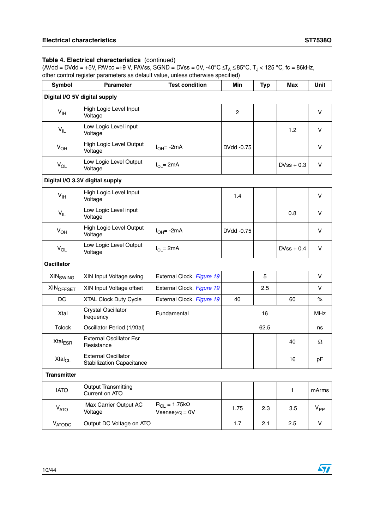| <b>Symbol</b>              | <b>Parameter</b>                                               | <b>Test condition</b>                           | <b>Min</b>     | <b>Typ</b> | <b>Max</b>   | Unit       |
|----------------------------|----------------------------------------------------------------|-------------------------------------------------|----------------|------------|--------------|------------|
|                            | Digital I/O 5V digital supply                                  |                                                 |                |            |              |            |
| V <sub>IH</sub>            | High Logic Level Input<br>Voltage                              |                                                 | $\overline{c}$ |            |              | V          |
| $V_{IL}$                   | Low Logic Level input<br>Voltage                               |                                                 |                |            | 1.2          | v          |
| $V_{OH}$                   | High Logic Level Output<br>Voltage                             | $I_{OH} = -2mA$                                 | DVdd -0.75     |            |              | V          |
| $V_{OL}$                   | Low Logic Level Output<br>Voltage                              | $I_{OL} = 2mA$                                  |                |            | $DVss + 0.3$ | v          |
|                            | Digital I/O 3.3V digital supply                                |                                                 |                |            |              |            |
| $V_{\text{IH}}$            | High Logic Level Input<br>Voltage                              |                                                 | 1.4            |            |              | $\vee$     |
| $V_{IL}$                   | Low Logic Level input<br>Voltage                               |                                                 |                |            | 0.8          | V          |
| $V_{OH}$                   | High Logic Level Output<br>Voltage                             | $IOH= -2mA$                                     | DVdd -0.75     |            |              | $\vee$     |
| $V_{OL}$                   | Low Logic Level Output<br>Voltage                              | $I_{OL} = 2mA$                                  |                |            | $DVss + 0.4$ | $\vee$     |
| <b>Oscillator</b>          |                                                                |                                                 |                |            |              |            |
| <b>XIN<sub>SWING</sub></b> | XIN Input Voltage swing                                        | External Clock. Figure 19                       |                | 5          |              | $\vee$     |
| <b>XINOFFSET</b>           | XIN Input Voltage offset                                       | External Clock. Figure 19                       |                | 2.5        |              | v          |
| DC                         | <b>XTAL Clock Duty Cycle</b>                                   | External Clock. Figure 19                       | 40             |            | 60           | $\%$       |
| Xtal                       | <b>Crystal Oscillator</b><br>frequency                         | Fundamental                                     |                | 16         |              | <b>MHz</b> |
| <b>Tclock</b>              | Oscillator Period (1/Xtal)                                     |                                                 |                | 62.5       |              | ns         |
| Xtal <sub>ESR</sub>        | <b>External Oscillator Esr</b><br>Resistance                   |                                                 |                |            | 40           | Ω          |
| <b>Xtal<sub>CL</sub></b>   | <b>External Oscillator</b><br><b>Stabilization Capacitance</b> |                                                 |                |            | 16           | pF         |
| <b>Transmitter</b>         |                                                                |                                                 |                |            |              |            |
| <b>IATO</b>                | <b>Output Transmitting</b><br>Current on ATO                   |                                                 |                |            | $\mathbf{1}$ | mArms      |
| $V_{ATO}$                  | Max Carrier Output AC<br>Voltage                               | $R_{CL} = 1.75k\Omega$<br>$V$ sense $(AC) = 0V$ | 1.75           | 2.3        | 3.5          | $V_{PP}$   |
| VATODC                     | Output DC Voltage on ATO                                       |                                                 | 1.7            | 2.1        | 2.5          | V          |

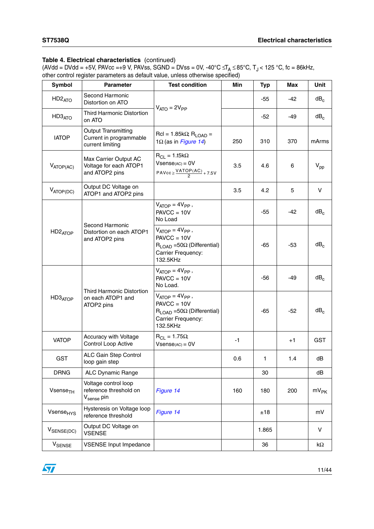| Symbol                         | <b>Parameter</b>                                                         | <b>Test condition</b>                                                                                                      | Min  | <b>Typ</b> | <b>Max</b> | Unit            |
|--------------------------------|--------------------------------------------------------------------------|----------------------------------------------------------------------------------------------------------------------------|------|------------|------------|-----------------|
| HD <sub>2</sub> <sub>ATO</sub> | Second Harmonic<br>Distortion on ATO                                     |                                                                                                                            |      | $-55$      | -42        | dB <sub>c</sub> |
| HD3 <sub>ATO</sub>             | <b>Third Harmonic Distortion</b><br>on ATO                               | $V_{ATO} = 2V_{PP}$                                                                                                        |      | -52        | -49        | $dB_c$          |
| <b>IATOP</b>                   | Output Transmitting<br>Current in programmable<br>current limiting       | $Rcl = 1.85k\Omega$ ; $R_{LOAD} =$<br>1 $\Omega$ (as in Figure 14)                                                         | 250  | 310        | 370        | mArms           |
| $V_{ATOP(AC)}$                 | Max Carrier Output AC<br>Voltage for each ATOP1<br>and ATOP2 pins        | $R_{CL} = 1.15k\Omega$<br>$V$ sense $(AC) = 0V$<br>$PAVcc \geq \frac{VATOP(AC)}{2} + 7.5V$                                 | 3.5  | 4.6        | 6          | $V_{\text{pp}}$ |
| $V_{ATOP(DC)}$                 | Output DC Voltage on<br>ATOP1 and ATOP2 pins                             |                                                                                                                            | 3.5  | 4.2        | 5          | v               |
|                                |                                                                          | $V_{ATOP} = 4V_{PP}$ ,<br>$PAVCC = 10V$<br>No Load                                                                         |      | $-55$      | -42        | $dB_c$          |
| HD <sub>2</sub> ATOP           | Second Harmonic<br>Distortion on each ATOP1<br>and ATOP2 pins            | $V_{ATOP} = 4V_{PP}$ ,<br>$PAVCC = 10V$<br>$R_{\text{LOAD}}$ =50 $\Omega$ (Differential)<br>Carrier Frequency:<br>132.5KHz |      | -65        | -53        | $dB_c$          |
|                                |                                                                          | $V_{ATOP} = 4V_{PP}$ ,<br>$PAVCC = 10V$<br>No Load.                                                                        |      | $-56$      | -49        | $dB_c$          |
| HD3 <sub>ATOP</sub>            | Third Harmonic Distortion<br>on each ATOP1 and<br>ATOP2 pins             | $V_{ATOP} = 4V_{PP}$ ,<br>$PAVCC = 10V$<br>$R_{\text{LOAD}}$ =50 $\Omega$ (Differential)<br>Carrier Frequency:<br>132.5KHz |      | $-65$      | -52        | $dB_c$          |
| <b>VATOP</b>                   | Accuracy with Voltage<br>Control Loop Active                             | $R_{CL} = 1.75\Omega$ ;<br>$V$ sense $(AC) = 0V$                                                                           | $-1$ |            | $+1$       | <b>GST</b>      |
| <b>GST</b>                     | ALC Gain Step Control<br>loop gain step                                  |                                                                                                                            | 0.6  | 1          | $1.4$      | dB              |
| <b>DRNG</b>                    | ALC Dynamic Range                                                        |                                                                                                                            |      | 30         |            | dB              |
| Vsense <sub>TH</sub>           | Voltage control loop<br>reference threshold on<br>V <sub>sense</sub> pin | Figure 14                                                                                                                  | 160  | 180        | 200        | $mV_{PK}$       |
| Vsense <sub>HYS</sub>          | Hysteresis on Voltage loop<br>reference threshold                        | Figure 14                                                                                                                  |      | ±18        |            | mV              |
| $V_{\text{SENSE(DC)}}$         | Output DC Voltage on<br><b>VSENSE</b>                                    |                                                                                                                            |      | 1.865      |            | V               |
| <b>V</b> SENSE                 | <b>VSENSE Input Impedance</b>                                            |                                                                                                                            |      | 36         |            | k $\Omega$      |

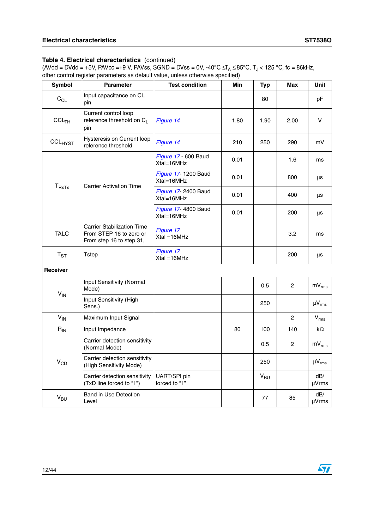| <b>Symbol</b>     | <b>Parameter</b>                                                                         | <b>Test condition</b>              | Min  | <b>Typ</b>      | Max            | Unit          |
|-------------------|------------------------------------------------------------------------------------------|------------------------------------|------|-----------------|----------------|---------------|
| $C_{CL}$          | Input capacitance on CL<br>pin                                                           |                                    |      | 80              |                | pF            |
| CCL <sub>TH</sub> | Current control loop<br>reference threshold on CL<br>pin                                 | Figure 14                          | 1.80 | 1.90            | 2.00           | V             |
| CCLHYST           | Hysteresis on Current loop<br>reference threshold                                        | Figure 14                          | 210  | 250             | 290            | mV            |
|                   |                                                                                          | Figure 17 - 600 Baud<br>Xtal=16MHz | 0.01 |                 | 1.6            | ms            |
|                   | <b>Carrier Activation Time</b>                                                           | Figure 17- 1200 Baud<br>Xtal=16MHz | 0.01 |                 | 800            | μs            |
| $T_{RxTx}$        |                                                                                          | Figure 17- 2400 Baud<br>Xtal=16MHz | 0.01 |                 | 400            | μs            |
|                   |                                                                                          | Figure 17- 4800 Baud<br>Xtal=16MHz | 0.01 |                 | 200            | μs            |
| <b>TALC</b>       | <b>Carrier Stabilization Time</b><br>From STEP 16 to zero or<br>From step 16 to step 31, | Figure 17<br>$Xtal = 16MHz$        |      |                 | 3.2            | ms            |
| $T_{ST}$          | Tstep                                                                                    | Figure 17<br>$Xtal = 16MHz$        |      |                 | 200            | μs            |
| <b>Receiver</b>   |                                                                                          |                                    |      |                 |                |               |
| $V_{IN}$          | Input Sensitivity (Normal<br>Mode)                                                       |                                    |      | 0.5             | $\overline{2}$ | $mV_{rms}$    |
|                   | Input Sensitivity (High<br>Sens.)                                                        |                                    |      | 250             |                | $\mu V_{rms}$ |
| $V_{IN}$          | Maximum Input Signal                                                                     |                                    |      |                 | $\overline{2}$ | $V_{rms}$     |
| $R_{IN}$          | Input Impedance                                                                          |                                    | 80   | 100             | 140            | kΩ            |
| $V_{CD}$          | Carrier detection sensitivity<br>(Normal Mode)                                           |                                    |      | 0.5             | $\overline{2}$ | $mV_{rms}$    |
|                   | Carrier detection sensitivity<br>(High Sensitivity Mode)                                 |                                    |      | 250             |                | $\mu V_{rms}$ |
|                   | Carrier detection sensitivity<br>(TxD line forced to "1")                                | UART/SPI pin<br>forced to "1"      |      | V <sub>BU</sub> |                | dB/<br>µVrms  |
| $V_{BU}$          | <b>Band in Use Detection</b><br>Level                                                    |                                    |      | 77              | 85             | dB/<br>µVrms  |

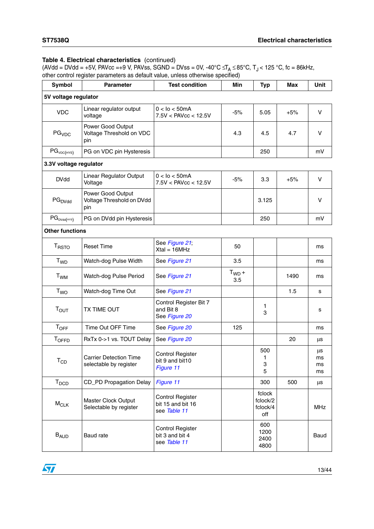| <b>Symbol</b>              | <b>Parameter</b>                                        | <b>Test condition</b>                                        | Min               | <b>Typ</b>                            | Max   | Unit                 |
|----------------------------|---------------------------------------------------------|--------------------------------------------------------------|-------------------|---------------------------------------|-------|----------------------|
| 5V voltage regulator       |                                                         |                                                              |                   |                                       |       |                      |
| <b>VDC</b>                 | Linear regulator output<br>voltage                      | $0 <$ lo $<$ 50mA<br>7.5V < PAVcc < 12.5V                    | $-5%$             | 5.05                                  | $+5%$ | $\vee$               |
| PG <sub>VDC</sub>          | Power Good Output<br>Voltage Threshold on VDC<br>pin    |                                                              | 4.3               | 4.5                                   | 4.7   | V                    |
| PG <sub>VDC(HYS)</sub>     | PG on VDC pin Hysteresis                                |                                                              |                   | 250                                   |       | mV                   |
| 3.3V voltage regulator     |                                                         |                                                              |                   |                                       |       |                      |
| <b>DVdd</b>                | <b>Linear Regulator Output</b><br>Voltage               | $0 <$ Io $<$ 50mA<br>$7.5V <$ PAVcc $< 12.5V$                | $-5%$             | 3.3                                   | $+5%$ | $\vee$               |
| $PG_{DVdd}$                | Power Good Output<br>Voltage Threshold on DVdd<br>pin   |                                                              |                   | 3.125                                 |       | V                    |
| $PG_{DVdd(HYS)}$           | PG on DVdd pin Hysteresis                               |                                                              |                   | 250                                   |       | mV                   |
| <b>Other functions</b>     |                                                         |                                                              |                   |                                       |       |                      |
| <b>TRSTO</b>               | <b>Reset Time</b>                                       | See Figure 21;<br>$Xtal = 16MHz$                             | 50                |                                       |       | ms                   |
| <b>T</b> <sub>WD</sub>     | Watch-dog Pulse Width                                   | See Figure 21                                                | 3.5               |                                       |       | ms                   |
| <b>T<sub>WM</sub></b>      | Watch-dog Pulse Period                                  | See Figure 21                                                | $T_{WD} +$<br>3.5 |                                       | 1490  | ms                   |
| T <sub>WO</sub>            | Watch-dog Time Out                                      | See Figure 21                                                |                   |                                       | 1.5   | s                    |
| $T_{\text{OUT}}$           | TX TIME OUT                                             | Control Register Bit 7<br>and Bit 8<br>See Figure 20         |                   | 1<br>3                                |       | s                    |
| $T_{OFF}$                  | Time Out OFF Time                                       | See Figure 20                                                | 125               |                                       |       | ms                   |
| TOFFD                      | RxTx 0->1 vs. TOUT Delay                                | See Figure 20                                                |                   |                                       | 20    | μs                   |
| $\mathsf{T}_{\mathsf{CD}}$ | <b>Carrier Detection Time</b><br>selectable by register | Control Register<br>bit 9 and bit10<br>Figure 11             |                   | 500<br>1<br>3<br>5                    |       | μs<br>ms<br>ms<br>ms |
| T <sub>DCD</sub>           | CD_PD Propagation Delay                                 | Figure 11                                                    |                   | 300                                   | 500   | μs                   |
| $M_{CLK}$                  | Master Clock Output<br>Selectable by register           | <b>Control Register</b><br>bit 15 and bit 16<br>see Table 11 |                   | fclock<br>fclock/2<br>fclock/4<br>off |       | <b>MHz</b>           |
| <b>B<sub>AUD</sub></b>     | Baud rate                                               | Control Register<br>bit 3 and bit 4<br>see Table 11          |                   | 600<br>1200<br>2400<br>4800           |       | Baud                 |

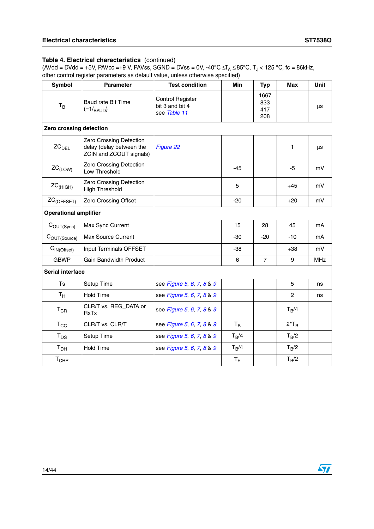| <b>Symbol</b>                | <b>Parameter</b>                                                               | <b>Test condition</b>                                      | Min     | <b>Typ</b>                | <b>Max</b>     | <b>Unit</b> |
|------------------------------|--------------------------------------------------------------------------------|------------------------------------------------------------|---------|---------------------------|----------------|-------------|
| $T_B$                        | Baud rate Bit Time<br>$(=1/_{BAUD})$                                           | <b>Control Register</b><br>bit 3 and bit 4<br>see Table 11 |         | 1667<br>833<br>417<br>208 |                | $\mu s$     |
| Zero crossing detection      |                                                                                |                                                            |         |                           |                |             |
| ZC <sub>DEL</sub>            | Zero Crossing Detection<br>delay (delay between the<br>ZCIN and ZCOUT signals) | Figure 22                                                  |         |                           | 1              | μs          |
| $ZC_{(LOW)}$                 | Zero Crossing Detection<br>Low Threshold                                       |                                                            | $-45$   |                           | $-5$           | mV          |
| $ZC_{(HIGH)}$                | Zero Crossing Detection<br><b>High Threshold</b>                               |                                                            | 5       |                           | $+45$          | mV          |
| ZC <sub>(OFFSET)</sub>       | Zero Crossing Offset                                                           |                                                            | $-20$   |                           | $+20$          | mV          |
| <b>Operational amplifier</b> |                                                                                |                                                            |         |                           |                |             |
| $C_{OUT(Sync)}$              | Max Sync Current                                                               |                                                            | 15      | 28                        | 45             | mA          |
| COUT(Source)                 | <b>Max Source Current</b>                                                      |                                                            | $-30$   | $-20$                     | $-10$          | mA          |
| C <sub>IN(Offset)</sub>      | Input Terminals OFFSET                                                         |                                                            | $-38$   |                           | +38            | mV          |
| <b>GBWP</b>                  | <b>Gain Bandwidth Product</b>                                                  |                                                            | 6       | $\overline{7}$            | 9              | <b>MHz</b>  |
| <b>Serial interface</b>      |                                                                                |                                                            |         |                           |                |             |
| <b>Ts</b>                    | Setup Time                                                                     | see Figure 5, 6, 7, 8 & 9                                  |         |                           | 5              | ns          |
| $T_{\rm H}$                  | <b>Hold Time</b>                                                               | see Figure 5, 6, 7, 8 & 9                                  |         |                           | $\overline{2}$ | ns          |
| $T_{CR}$                     | CLR/T vs. REG_DATA or<br><b>RxTx</b>                                           | see Figure 5, 6, 7, 8 & 9                                  |         |                           | $T_B/4$        |             |
| $T_{\rm CC}$                 | CLR/T vs. CLR/T                                                                | see Figure 5, 6, 7, 8 & 9                                  | $T_B$   |                           | $2*T_B$        |             |
| $\mathsf{T}_{\mathsf{DS}}$   | Setup Time                                                                     | see Figure 5, 6, 7, 8 & 9                                  | $T_B/4$ |                           | $T_R/2$        |             |
| T <sub>DH</sub>              | <b>Hold Time</b>                                                               | see Figure 5, 6, 7, 8 & 9                                  | $T_B/4$ |                           | $T_B/2$        |             |
| $T_{CRP}$                    |                                                                                |                                                            | $T_{H}$ |                           | $T_B/2$        |             |

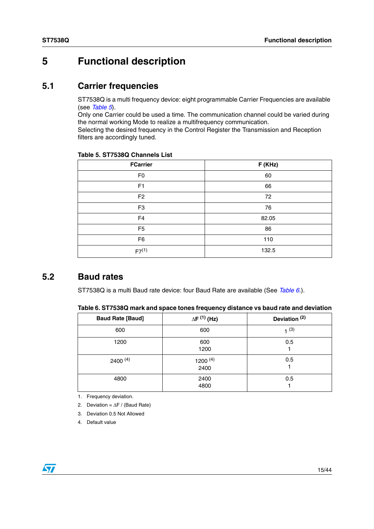# <span id="page-14-0"></span>**5 Functional description**

### <span id="page-14-1"></span>**5.1 Carrier frequencies**

ST7538Q is a multi frequency device: eight programmable Carrier Frequencies are available (see *[Table 5](#page-14-3)*).

Only one Carrier could be used a time. The communication channel could be varied during the normal working Mode to realize a multifrequency communication.

Selecting the desired frequency in the Control Register the Transmission and Reception filters are accordingly tuned.

| <b>FCarrier</b> | F (KHz) |
|-----------------|---------|
| F <sub>0</sub>  | 60      |
| F1              | 66      |
| F <sub>2</sub>  | 72      |
| F <sub>3</sub>  | 76      |
| F <sub>4</sub>  | 82.05   |
| F <sub>5</sub>  | 86      |
| F <sub>6</sub>  | 110     |
| $F7^{(1)}$      | 132.5   |

#### <span id="page-14-3"></span>**Table 5. ST7538Q Channels List**

### <span id="page-14-2"></span>**5.2 Baud rates**

ST7538Q is a multi Baud rate device: four Baud Rate are available (See *[Table 6.](#page-14-4)*).

<span id="page-14-4"></span>

|  |  |  | Table 6. ST7538Q mark and space tones frequency distance vs baud rate and deviation |
|--|--|--|-------------------------------------------------------------------------------------|
|--|--|--|-------------------------------------------------------------------------------------|

| <b>Baud Rate [Baud]</b> | $\Delta F^{(1)}$ (Hz) | Deviation <sup>(2)</sup> |
|-------------------------|-----------------------|--------------------------|
| 600                     | 600                   | 1(3)                     |
| 1200                    | 600<br>1200           | 0.5                      |
| $2400^{(4)}$            | 1200 $(4)$<br>2400    | 0.5                      |
| 4800                    | 2400<br>4800          | 0.5                      |

1. Frequency deviation.

- 2. Deviation = ∆F / (Baud Rate)
- 3. Deviation 0.5 Not Allowed
- 4. Default value

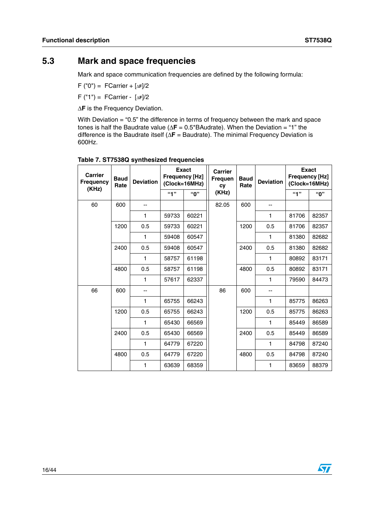### <span id="page-15-0"></span>**5.3 Mark and space frequencies**

Mark and space communication frequencies are defined by the following formula:

F ("0") = FCarrier + [∆**<sup>F</sup>**]/2

F ("1") = FCarrier - [∆**<sup>F</sup>**]/2

∆**F** is the Frequency Deviation.

With Deviation = "0.5" the difference in terms of frequency between the mark and space tones is half the Baudrate value (∆**F** = 0.5\*BAudrate). When the Deviation = "1" the difference is the Baudrate itself (∆**F** = Baudrate). The minimal Frequency Deviation is 600Hz.

| <b>Carrier</b><br><b>Frequency</b><br>(KHz) | <b>Baud</b><br>Rate | <b>Deviation</b> |       | <b>Exact</b><br><b>Frequency [Hz]</b><br>(Clock=16MHz) | <b>Carrier</b><br><b>Frequen</b><br><b>CV</b> | <b>Baud</b><br>Rate |              |       |       |  |  |  | <b>Deviation</b> |  | <b>Exact</b><br><b>Frequency [Hz]</b><br>(Clock=16MHz) |
|---------------------------------------------|---------------------|------------------|-------|--------------------------------------------------------|-----------------------------------------------|---------------------|--------------|-------|-------|--|--|--|------------------|--|--------------------------------------------------------|
|                                             |                     |                  | "1"   | "በ"                                                    | (KHz)                                         |                     |              | 4"    | "በ"   |  |  |  |                  |  |                                                        |
| 60                                          | 600                 |                  |       |                                                        | 82.05                                         | 600                 |              |       |       |  |  |  |                  |  |                                                        |
|                                             |                     | $\mathbf{1}$     | 59733 | 60221                                                  |                                               |                     | 1            | 81706 | 82357 |  |  |  |                  |  |                                                        |
|                                             | 1200                | 0.5              | 59733 | 60221                                                  |                                               | 1200                | 0.5          | 81706 | 82357 |  |  |  |                  |  |                                                        |
|                                             |                     | 1                | 59408 | 60547                                                  |                                               |                     | 1            | 81380 | 82682 |  |  |  |                  |  |                                                        |
|                                             | 2400                | 0.5              | 59408 | 60547                                                  | 2400<br>4800                                  |                     | 0.5          | 81380 | 82682 |  |  |  |                  |  |                                                        |
|                                             |                     | 1                | 58757 | 61198                                                  |                                               |                     | 1            | 80892 | 83171 |  |  |  |                  |  |                                                        |
|                                             | 4800                | 0.5              | 58757 | 61198                                                  |                                               | 0.5                 | 80892        | 83171 |       |  |  |  |                  |  |                                                        |
|                                             |                     | 1                | 57617 | 62337                                                  |                                               |                     | 1            | 79590 | 84473 |  |  |  |                  |  |                                                        |
| 66                                          | 600                 | --               |       |                                                        | 86                                            | 600                 |              |       |       |  |  |  |                  |  |                                                        |
|                                             |                     | 1                | 65755 | 66243                                                  |                                               |                     | $\mathbf{1}$ | 85775 | 86263 |  |  |  |                  |  |                                                        |
|                                             | 1200                | 0.5              | 65755 | 66243                                                  |                                               | 1200                | 0.5          | 85775 | 86263 |  |  |  |                  |  |                                                        |
|                                             |                     | 1                | 65430 | 66569                                                  |                                               |                     | 1            | 85449 | 86589 |  |  |  |                  |  |                                                        |
|                                             | 2400                | 0.5              | 65430 | 66569                                                  |                                               | 2400                | 0.5          | 85449 | 86589 |  |  |  |                  |  |                                                        |
|                                             |                     | 1                | 64779 | 67220                                                  |                                               |                     | 1            | 84798 | 87240 |  |  |  |                  |  |                                                        |
|                                             | 4800                | 0.5              | 64779 | 67220                                                  |                                               | 4800                | 0.5          | 84798 | 87240 |  |  |  |                  |  |                                                        |
|                                             |                     | 1                | 63639 | 68359                                                  |                                               |                     | 1            | 83659 | 88379 |  |  |  |                  |  |                                                        |

#### <span id="page-15-1"></span>**Table 7. ST7538Q synthesized frequencies**

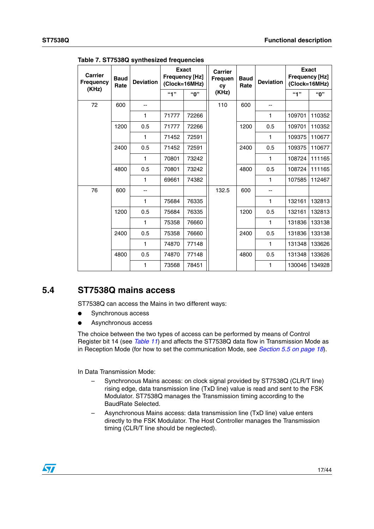| <b>Carrier</b><br><b>Frequency</b> | <b>Baud</b><br>Rate | <b>Deviation</b> | <b>Frequency [Hz]</b> | <b>Exact</b><br>(Clock=16MHz) | <b>Carrier</b><br><b>Frequen</b><br><b>CV</b> | <b>Baud</b><br>Rate |     |        |        |  | <b>Deviation</b> | <b>Frequency [Hz]</b> | <b>Exact</b><br>(Clock=16MHz) |
|------------------------------------|---------------------|------------------|-----------------------|-------------------------------|-----------------------------------------------|---------------------|-----|--------|--------|--|------------------|-----------------------|-------------------------------|
| (KHz)                              |                     |                  | 49                    | "በ"                           | (KHz)                                         |                     |     | "1"    | "0"    |  |                  |                       |                               |
| 72                                 | 600                 |                  |                       |                               | 110                                           | 600                 | --  |        |        |  |                  |                       |                               |
|                                    |                     | 1                | 71777                 | 72266                         |                                               |                     | 1   | 109701 | 110352 |  |                  |                       |                               |
|                                    | 1200                | 0.5              | 71777                 | 72266                         |                                               | 1200                | 0.5 | 109701 | 110352 |  |                  |                       |                               |
|                                    |                     | 1                | 71452                 | 72591                         |                                               |                     | 1   | 109375 | 110677 |  |                  |                       |                               |
|                                    | 2400                | 0.5              | 71452                 | 72591                         |                                               | 2400                | 0.5 | 109375 | 110677 |  |                  |                       |                               |
|                                    |                     | 1                | 70801                 | 73242                         |                                               |                     | 1   | 108724 | 111165 |  |                  |                       |                               |
|                                    | 4800                | 0.5              | 70801                 | 73242                         |                                               | 4800                | 0.5 | 108724 | 111165 |  |                  |                       |                               |
|                                    |                     | 1                | 69661                 | 74382                         |                                               |                     | 1   | 107585 | 112467 |  |                  |                       |                               |
| 76                                 | 600                 |                  |                       |                               | 132.5                                         | 600                 | --  |        |        |  |                  |                       |                               |
|                                    |                     | 1                | 75684                 | 76335                         |                                               |                     | 1   | 132161 | 132813 |  |                  |                       |                               |
|                                    | 1200                | 0.5              | 75684                 | 76335                         |                                               | 1200                | 0.5 | 132161 | 132813 |  |                  |                       |                               |
|                                    |                     | 1                | 75358                 | 76660                         |                                               |                     | 1   | 131836 | 133138 |  |                  |                       |                               |
|                                    | 2400                | 0.5              | 75358                 | 76660                         |                                               | 2400                | 0.5 | 131836 | 133138 |  |                  |                       |                               |
|                                    |                     | 1                | 74870                 | 77148                         |                                               |                     | 1   | 131348 | 133626 |  |                  |                       |                               |
|                                    | 4800                | 0.5              | 74870                 | 77148                         |                                               | 4800                | 0.5 | 131348 | 133626 |  |                  |                       |                               |
|                                    |                     | 1                | 73568                 | 78451                         |                                               |                     | 1   | 130046 | 134928 |  |                  |                       |                               |

**Table 7. ST7538Q synthesized frequencies**

### <span id="page-16-0"></span>**5.4 ST7538Q mains access**

ST7538Q can access the Mains in two different ways:

- Synchronous access
- Asynchronous access

The choice between the two types of access can be performed by means of Control Register bit 14 (see *Table 11*) and affects the ST7538Q data flow in Transmission Mode as in Reception Mode (for how to set the communication Mode, see *[Section 5.5 on page 18](#page-17-0)*).

In Data Transmission Mode:

- Synchronous Mains access: on clock signal provided by ST7538Q (CLR/T line) rising edge, data transmission line (TxD line) value is read and sent to the FSK Modulator. ST7538Q manages the Transmission timing according to the BaudRate Selected.
- Asynchronous Mains access: data transmission line (TxD line) value enters directly to the FSK Modulator. The Host Controller manages the Transmission timing (CLR/T line should be neglected).

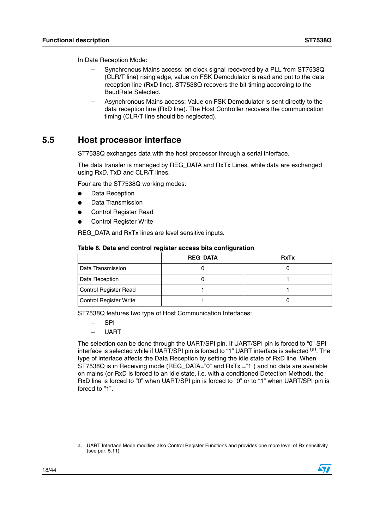In Data Reception Mode:

- Synchronous Mains access: on clock signal recovered by a PLL from ST7538Q (CLR/T line) rising edge, value on FSK Demodulator is read and put to the data reception line (RxD line). ST7538Q recovers the bit timing according to the BaudRate Selected.
- Asynchronous Mains access: Value on FSK Demodulator is sent directly to the data reception line (RxD line). The Host Controller recovers the communication timing (CLR/T line should be neglected).

### <span id="page-17-0"></span>**5.5 Host processor interface**

ST7538Q exchanges data with the host processor through a serial interface.

The data transfer is managed by REG\_DATA and RxTx Lines, while data are exchanged using RxD, TxD and CLR/T lines.

Four are the ST7538Q working modes:

- Data Reception
- Data Transmission
- **Control Register Read**
- **Control Register Write**

REG DATA and RxTx lines are level sensitive inputs.

| Table 8. Data and control register access bits configuration |  |  |
|--------------------------------------------------------------|--|--|
|--------------------------------------------------------------|--|--|

|                        | <b>REG DATA</b> | <b>RxTx</b> |
|------------------------|-----------------|-------------|
| l Data Transmission    |                 |             |
| Data Reception         |                 |             |
| Control Register Read  |                 |             |
| Control Register Write |                 |             |

ST7538Q features two type of Host Communication Interfaces:

- SPI
- UART

The selection can be done through the UART/SPI pin. If UART/SPI pin is forced to "0" SPI interface is selected while if UART/SPI pin is forced to "1" UART interface is selected <sup>(a)</sup>. The type of interface affects the Data Reception by setting the idle state of RxD line. When ST7538Q is in Receiving mode (REG\_DATA="0" and RxTx ="1") and no data are available on mains (or RxD is forced to an idle state, i.e. with a conditioned Detection Method), the RxD line is forced to "0" when UART/SPI pin is forced to "0" or to "1" when UART/SPI pin is forced to "1".

a. UART Interface Mode modifies also Control Register Functions and provides one more level of Rx sensitivity (see [par. 5.11](#page-34-0))

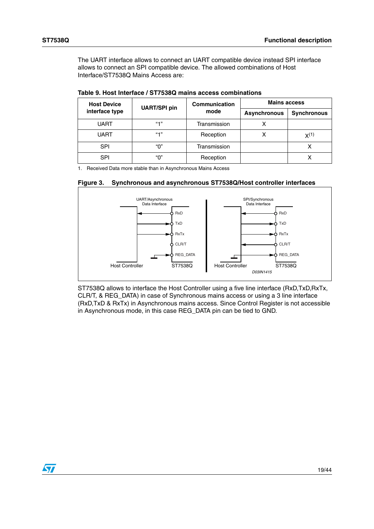The UART interface allows to connect an UART compatible device instead SPI interface allows to connect an SPI compatible device. The allowed combinations of Host Interface/ST7538Q Mains Access are:

| <b>Host Device</b> | <b>UART/SPI pin</b> | <b>Communication</b> | <b>Mains access</b> |                    |  |  |
|--------------------|---------------------|----------------------|---------------------|--------------------|--|--|
| interface type     |                     | mode                 | <b>Asynchronous</b> | <b>Synchronous</b> |  |  |
| <b>UART</b>        | $(4 - 1)$           | Transmission         |                     |                    |  |  |
| <b>UART</b>        | 64, 12              | Reception            |                     | $X^{(1)}$          |  |  |
| <b>SPI</b>         | "በ"                 | Transmission         |                     | х                  |  |  |
| <b>SPI</b>         | "በ"                 | Reception            |                     | ⋏                  |  |  |

**Table 9. Host Interface / ST7538Q mains access combinations**

1. Received Data more stable than in Asynchronous Mains Access



**Figure 3. Synchronous and asynchronous ST7538Q/Host controller interfaces**

ST7538Q allows to interface the Host Controller using a five line interface (RxD,TxD,RxTx, CLR/T, & REG\_DATA) in case of Synchronous mains access or using a 3 line interface (RxD,TxD & RxTx) in Asynchronous mains access. Since Control Register is not accessible in Asynchronous mode, in this case REG\_DATA pin can be tied to GND.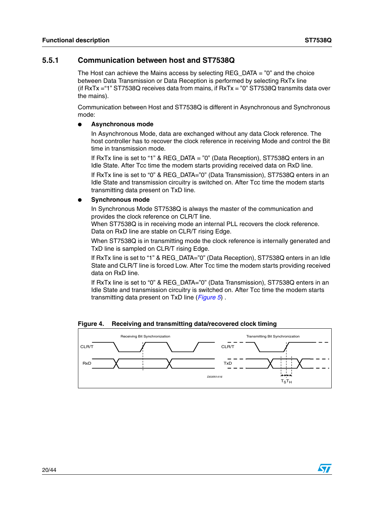$\overline{\mathbf{S}}$ 

#### <span id="page-19-0"></span>**5.5.1 Communication between host and ST7538Q**

The Host can achieve the Mains access by selecting REG  $\overline{DATA} = "0"$  and the choice between Data Transmission or Data Reception is performed by selecting RxTx line (if RxTx ="1" ST7538Q receives data from mains, if RxTx = "0" ST7538Q transmits data over the mains).

Communication between Host and ST7538Q is different in Asynchronous and Synchronous mode:

#### ● **Asynchronous mode**

In Asynchronous Mode, data are exchanged without any data Clock reference. The host controller has to recover the clock reference in receiving Mode and control the Bit time in transmission mode.

If RxTx line is set to "1" & REG\_DATA = "0" (Data Reception), ST7538Q enters in an Idle State. After Tcc time the modem starts providing received data on RxD line.

If RxTx line is set to "0" & REG\_DATA="0" (Data Transmission), ST7538Q enters in an Idle State and transmission circuitry is switched on. After Tcc time the modem starts transmitting data present on TxD line.

#### **Synchronous mode**

In Synchronous Mode ST7538Q is always the master of the communication and provides the clock reference on CLR/T line.

When ST7538Q is in receiving mode an internal PLL recovers the clock reference. Data on RxD line are stable on CLR/T rising Edge.

When ST7538Q is in transmitting mode the clock reference is internally generated and TxD line is sampled on CLR/T rising Edge.

If RxTx line is set to "1" & REG\_DATA="0" (Data Reception), ST7538Q enters in an Idle State and CLR/T line is forced Low. After Tcc time the modem starts providing received data on RxD line.

If RxTx line is set to "0" & REG\_DATA="0" (Data Transmission), ST7538Q enters in an Idle State and transmission circuitry is switched on. After Tcc time the modem starts transmitting data present on TxD line (*[Figure 5](#page-20-1)*) .

**Figure 4. Receiving and transmitting data/recovered clock timing**

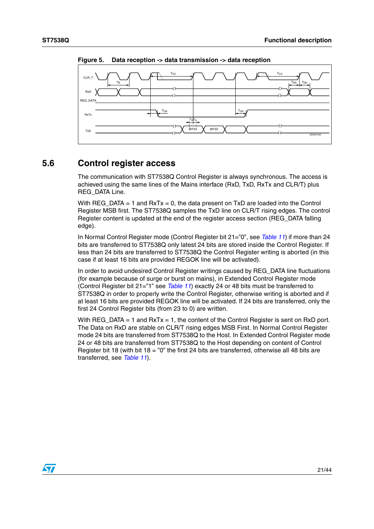

<span id="page-20-1"></span>**Figure 5. Data reception -> data transmission -> data reception**

### <span id="page-20-0"></span>**5.6 Control register access**

The communication with ST7538Q Control Register is always synchronous. The access is achieved using the same lines of the Mains interface (RxD, TxD, RxTx and CLR/T) plus REG\_DATA Line.

With  $REG\_DATA = 1$  and  $RxTx = 0$ , the data present on  $TxD$  are loaded into the Control Register MSB first. The ST7538Q samples the TxD line on CLR/T rising edges. The control Register content is updated at the end of the register access section (REG\_DATA falling edge).

In Normal Control Register mode (Control Register bit 21="0", see *Table 11*) if more than 24 bits are transferred to ST7538Q only latest 24 bits are stored inside the Control Register. If less than 24 bits are transferred to ST7538Q the Control Register writing is aborted (in this case if at least 16 bits are provided REGOK line will be activated).

In order to avoid undesired Control Register writings caused by REG\_DATA line fluctuations (for example because of surge or burst on mains), in Extended Control Register mode (Control Register bit 21="1" see *Table 11*) exactly 24 or 48 bits must be transferred to ST7538Q in order to properly write the Control Register, otherwise writing is aborted and if at least 16 bits are provided REGOK line will be activated. If 24 bits are transferred, only the first 24 Control Register bits (from 23 to 0) are written.

With REG DATA = 1 and  $RxTx = 1$ , the content of the Control Register is sent on RxD port. The Data on RxD are stable on CLR/T rising edges MSB First. In Normal Control Register mode 24 bits are transferred from ST7538Q to the Host. In Extended Control Register mode 24 or 48 bits are transferred from ST7538Q to the Host depending on content of Control Register bit 18 (with bit 18 = "0" the first 24 bits are transferred, otherwise all 48 bits are transferred, see *Table 11*).

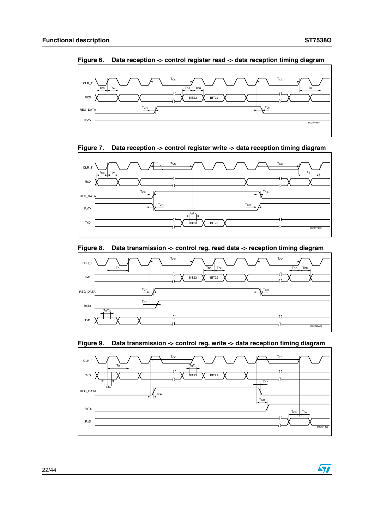$\sqrt{2}$ 

<span id="page-21-0"></span>





<span id="page-21-1"></span>**Figure 7. Data reception -> control register write -> data reception timing diagram**

<span id="page-21-2"></span>



#### <span id="page-21-3"></span>**Figure 9. Data transmission -> control reg. write -> data reception timing diagram**

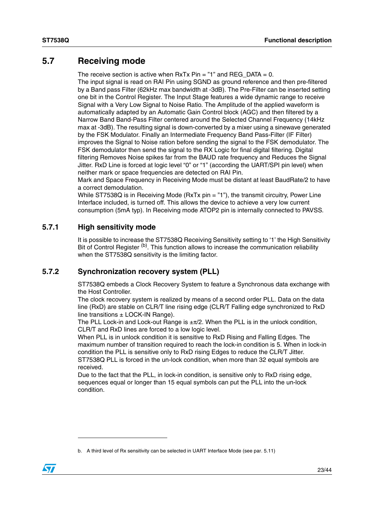### <span id="page-22-0"></span>**5.7 Receiving mode**

The receive section is active when  $RxTx$  Pin = "1" and  $REG\_DATA = 0$ .

The input signal is read on RAI Pin using SGND as ground reference and then pre-filtered by a Band pass Filter (62kHz max bandwidth at -3dB). The Pre-Filter can be inserted setting one bit in the Control Register. The Input Stage features a wide dynamic range to receive Signal with a Very Low Signal to Noise Ratio. The Amplitude of the applied waveform is automatically adapted by an Automatic Gain Control block (AGC) and then filtered by a Narrow Band Band-Pass Filter centered around the Selected Channel Frequency (14kHz max at -3dB). The resulting signal is down-converted by a mixer using a sinewave generated by the FSK Modulator. Finally an Intermediate Frequency Band Pass-Filter (IF Filter) improves the Signal to Noise ration before sending the signal to the FSK demodulator. The FSK demodulator then send the signal to the RX Logic for final digital filtering. Digital filtering Removes Noise spikes far from the BAUD rate frequency and Reduces the Signal Jitter. RxD Line is forced at logic level "0" or "1" (according the UART/SPI pin level) when neither mark or space frequencies are detected on RAI Pin.

Mark and Space Frequency in Receiving Mode must be distant at least BaudRate/2 to have a correct demodulation.

While ST7538Q is in Receiving Mode (RxTx pin = "1"), the transmit circuitry, Power Line Interface included, is turned off. This allows the device to achieve a very low current consumption (5mA typ). In Receiving mode ATOP2 pin is internally connected to PAVSS.

#### <span id="page-22-1"></span>**5.7.1 High sensitivity mode**

It is possible to increase the ST7538Q Receiving Sensitivity setting to '1' the High Sensitivity Bit of Control Register <sup>(b)</sup>. This function allows to increase the communication reliability when the ST7538Q sensitivity is the limiting factor.

#### <span id="page-22-2"></span>**5.7.2 Synchronization recovery system (PLL)**

ST7538Q embeds a Clock Recovery System to feature a Synchronous data exchange with the Host Controller.

The clock recovery system is realized by means of a second order PLL. Data on the data line (RxD) are stable on CLR/T line rising edge (CLR/T Falling edge synchronized to RxD line transitions  $\pm$  LOCK-IN Range).

The PLL Lock-in and Lock-out Range is  $\pm \pi/2$ . When the PLL is in the unlock condition, CLR/T and RxD lines are forced to a low logic level.

When PLL is in unlock condition it is sensitive to RxD Rising and Falling Edges. The maximum number of transition required to reach the lock-in condition is 5. When in lock-in condition the PLL is sensitive only to RxD rising Edges to reduce the CLR/T Jitter. ST7538Q PLL is forced in the un-lock condition, when more than 32 equal symbols are received.

Due to the fact that the PLL, in lock-in condition, is sensitive only to RxD rising edge, sequences equal or longer than 15 equal symbols can put the PLL into the un-lock condition.

b. A third level of Rx sensitivity can be selected in UART Interface Mode (see [par. 5.11](#page-34-0))

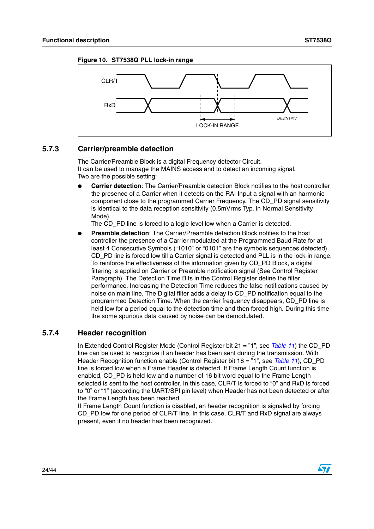



#### <span id="page-23-0"></span>**5.7.3 Carrier/preamble detection**

The Carrier/Preamble Block is a digital Frequency detector Circuit. It can be used to manage the MAINS access and to detect an incoming signal. Two are the possible setting:

**Carrier detection:** The Carrier/Preamble detection Block notifies to the host controller the presence of a Carrier when it detects on the RAI Input a signal with an harmonic component close to the programmed Carrier Frequency. The CD\_PD signal sensitivity is identical to the data reception sensitivity (0.5mVrms Typ. in Normal Sensitivity Mode).

The CD\_PD line is forced to a logic level low when a Carrier is detected.

**Preamble detection**: The Carrier/Preamble detection Block notifies to the host controller the presence of a Carrier modulated at the Programmed Baud Rate for at least 4 Consecutive Symbols ("1010" or "0101" are the symbols sequences detected). CD\_PD line is forced low till a Carrier signal is detected and PLL is in the lock-in range. To reinforce the effectiveness of the information given by CD\_PD Block, a digital filtering is applied on Carrier or Preamble notification signal (See Control Register Paragraph). The Detection Time Bits in the Control Register define the filter performance. Increasing the Detection Time reduces the false notifications caused by noise on main line. The Digital filter adds a delay to CD\_PD notification equal to the programmed Detection Time. When the carrier frequency disappears, CD\_PD line is held low for a period equal to the detection time and then forced high. During this time the some spurious data caused by noise can be demodulated.

#### <span id="page-23-1"></span>**5.7.4 Header recognition**

In Extended Control Register Mode (Control Register bit 21 = "1", see *Table 11*) the CD\_PD line can be used to recognize if an header has been sent during the transmission. With Header Recognition function enable (Control Register bit 18 = "1", see *Table 11*), CD\_PD line is forced low when a Frame Header is detected. If Frame Length Count function is enabled, CD\_PD is held low and a number of 16 bit word equal to the Frame Length selected is sent to the host controller. In this case, CLR/T is forced to "0" and RxD is forced to "0" or "1" (according the UART/SPI pin level) when Header has not been detected or after the Frame Length has been reached.

If Frame Length Count function is disabled, an header recognition is signaled by forcing CD\_PD low for one period of CLR/T line. In this case, CLR/T and RxD signal are always present, even if no header has been recognized.

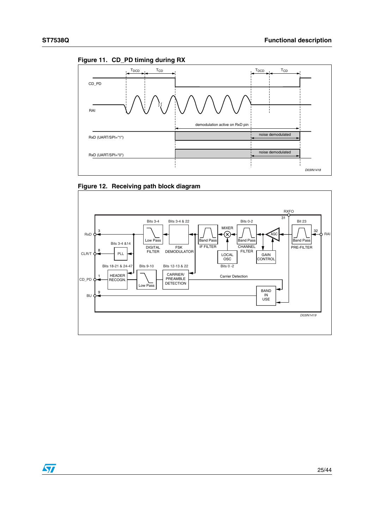

<span id="page-24-0"></span>



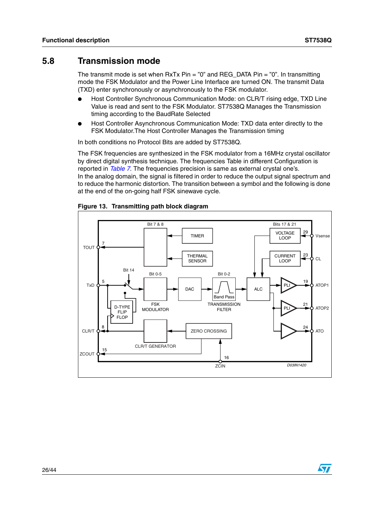$\sqrt{}$ 

### <span id="page-25-0"></span>**5.8 Transmission mode**

The transmit mode is set when  $RxTx$  Pin = "0" and REG DATA Pin = "0". In transmitting mode the FSK Modulator and the Power Line Interface are turned ON. The transmit Data (TXD) enter synchronously or asynchronously to the FSK modulator.

- Host Controller Synchronous Communication Mode: on CLR/T rising edge, TXD Line Value is read and sent to the FSK Modulator. ST7538Q Manages the Transmission timing according to the BaudRate Selected
- Host Controller Asynchronous Communication Mode: TXD data enter directly to the FSK Modulator.The Host Controller Manages the Transmission timing

In both conditions no Protocol Bits are added by ST7538Q.

The FSK frequencies are synthesized in the FSK modulator from a 16MHz crystal oscillator by direct digital synthesis technique. The frequencies Table in different Configuration is reported in *[Table 7](#page-15-1)*. The frequencies precision is same as external crystal one's. In the analog domain, the signal is filtered in order to reduce the output signal spectrum and to reduce the harmonic distortion. The transition between a symbol and the following is done at the end of the on-going half FSK sinewave cycle.



#### **Figure 13. Transmitting path block diagram**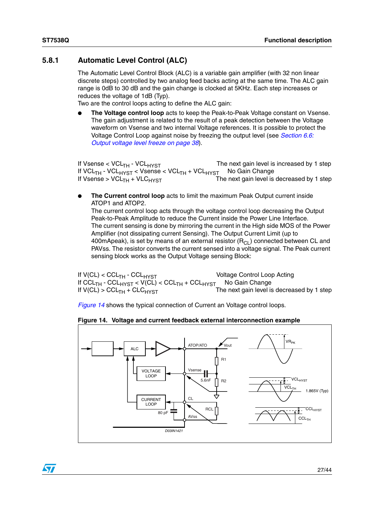$\sqrt{}$ 

#### <span id="page-26-0"></span>**5.8.1 Automatic Level Control (ALC)**

The Automatic Level Control Block (ALC) is a variable gain amplifier (with 32 non linear discrete steps) controlled by two analog feed backs acting at the same time. The ALC gain range is 0dB to 30 dB and the gain change is clocked at 5KHz. Each step increases or reduces the voltage of 1dB (Typ).

Two are the control loops acting to define the ALC gain:

**The Voltage control loop** acts to keep the Peak-to-Peak Voltage constant on Vsense. The gain adjustment is related to the result of a peak detection between the Voltage waveform on Vsense and two internal Voltage references. It is possible to protect the Voltage Control Loop against noise by freezing the output level (see *[Section 6.6:](#page-37-1)  [Output voltage level freeze on page 38](#page-37-1)*).

If Vsense  $<$  VCL<sub>TH</sub> - VCL<sub>HYST</sub>  $\hbox{The next gain level is increased by 1 step}$ If VCL<sub>TH</sub> - VCL<sub>HYST</sub> < Vsense < VCL<sub>TH</sub> + VCL<sub>HYST</sub> No Gain Change If Vsense >  $VCL_{TH}$  +  $VLC_{HYST}$  The next gain level is decreased by 1 step

**The Current control loop** acts to limit the maximum Peak Output current inside ATOP1 and ATOP2.

The current control loop acts through the voltage control loop decreasing the Output Peak-to-Peak Amplitude to reduce the Current inside the Power Line Interface. The current sensing is done by mirroring the current in the High side MOS of the Power Amplifier (not dissipating current Sensing). The Output Current Limit (up to 400mApeak), is set by means of an external resistor  $(R<sub>Cl</sub>)$  connected between CL and PAVss. The resistor converts the current sensed into a voltage signal. The Peak current sensing block works as the Output Voltage sensing Block:

If V(CL) < CCLTH - CCLHYST Voltage Control Loop Acting If CCL<sub>TH</sub> - CCL<sub>HYST</sub> < V(CL) < CCL<sub>TH</sub> + CCL<sub>HYST</sub> No Gain Change If  $V(Cl) > CCL<sub>TH</sub> + CLC<sub>HYST</sub>$  The next gain level is decreased by 1 step

*[Figure 14](#page-26-1)* shows the typical connection of Current an Voltage control loops.

<span id="page-26-1"></span>



27/44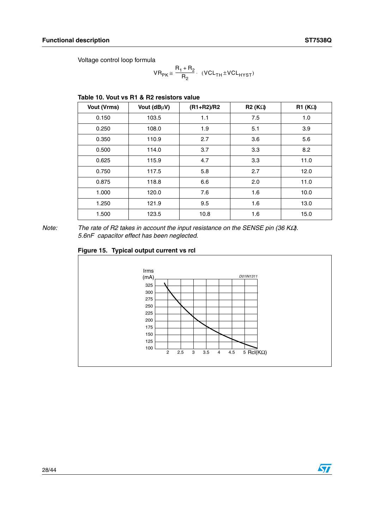Voltage control loop formula

$$
VR_{PK} \cong \frac{R_1 + R_2}{R_2} \cdot (VCL_{TH} \pm VCL_{HYST})
$$

#### **Table 10. Vout vs R1 & R2 resistors value**

| Vout (Vrms) | Vout (dBµV) | $(R1 + R2)/R2$ | R2(K <sub>2</sub> ) | R1 (K <sub>Ω</sub> ) |
|-------------|-------------|----------------|---------------------|----------------------|
| 0.150       | 103.5       | 1.1            | 7.5                 | 1.0                  |
| 0.250       | 108.0       | 1.9            | 5.1                 | 3.9                  |
| 0.350       | 110.9       | 2.7            | 3.6                 | 5.6                  |
| 0.500       | 114.0       | 3.7            | 3.3                 | 8.2                  |
| 0.625       | 115.9       | 4.7            | 3.3                 | 11.0                 |
| 0.750       | 117.5       | 5.8            | 2.7                 | 12.0                 |
| 0.875       | 118.8       | 6.6            | 2.0                 | 11.0                 |
| 1.000       | 120.0       | 7.6            | 1.6                 | 10.0                 |
| 1.250       | 121.9       | 9.5            | 1.6                 | 13.0                 |
| 1.500       | 123.5       | 10.8           | 1.6                 | 15.0                 |

*Note:* The rate of R2 takes in account the input resistance on the SENSE pin (36 KΩ). *5.6nF capacitor effect has been neglected.*



#### **Figure 15. Typical output current vs rcl**

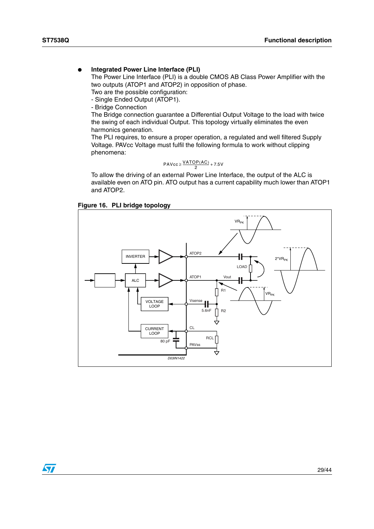#### **Integrated Power Line Interface (PLI)**

The Power Line Interface (PLI) is a double CMOS AB Class Power Amplifier with the two outputs (ATOP1 and ATOP2) in opposition of phase.

Two are the possible configuration: - Single Ended Output (ATOP1).

- Bridge Connection

The Bridge connection guarantee a Differential Output Voltage to the load with twice the swing of each individual Output. This topology virtually eliminates the even harmonics generation.

The PLI requires, to ensure a proper operation, a regulated and well filtered Supply Voltage. PAVcc Voltage must fulfil the following formula to work without clipping phenomena:

$$
PAVcc \geq \frac{VATOP(AC)}{2} + 7.5V
$$

To allow the driving of an external Power Line Interface, the output of the ALC is available even on ATO pin. ATO output has a current capability much lower than ATOP1 and ATOP2.





 $\sqrt{2}$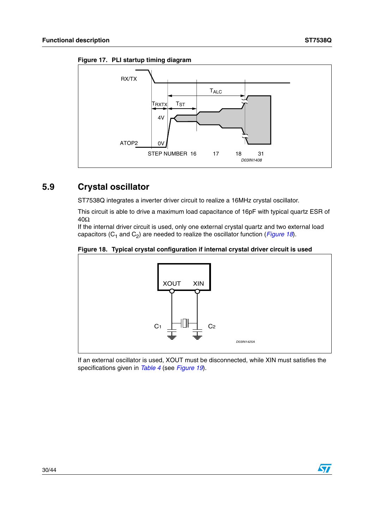<span id="page-29-1"></span>



## <span id="page-29-0"></span>**5.9 Crystal oscillator**

ST7538Q integrates a inverter driver circuit to realize a 16MHz crystal oscillator.

This circuit is able to drive a maximum load capacitance of 16pF with typical quartz ESR of 40Ω.

If the internal driver circuit is used, only one external crystal quartz and two external load capacitors ( $C_1$  and  $C_2$ ) are needed to realize the oscillator function (*[Figure 18](#page-29-2)*).

#### <span id="page-29-2"></span>**Figure 18. Typical crystal configuration if internal crystal driver circuit is used**



If an external oscillator is used, XOUT must be disconnected, while XIN must satisfies the specifications given in *Table 4* (see *[Figure 19](#page-30-1)*).

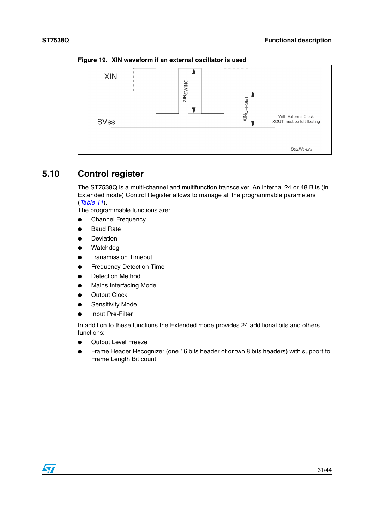

<span id="page-30-1"></span>**Figure 19. XIN waveform if an external oscillator is used** 

### <span id="page-30-0"></span>**5.10 Control register**

The ST7538Q is a multi-channel and multifunction transceiver. An internal 24 or 48 Bits (in Extended mode) Control Register allows to manage all the programmable parameters (*Table 11*).

The programmable functions are:

- **Channel Frequency**
- **Baud Rate**
- Deviation
- Watchdog
- **Transmission Timeout**
- **Frequency Detection Time**
- Detection Method
- **Mains Interfacing Mode**
- **Output Clock**
- **Sensitivity Mode**
- Input Pre-Filter

In addition to these functions the Extended mode provides 24 additional bits and others functions:

- Output Level Freeze
- Frame Header Recognizer (one 16 bits header of or two 8 bits headers) with support to Frame Length Bit count

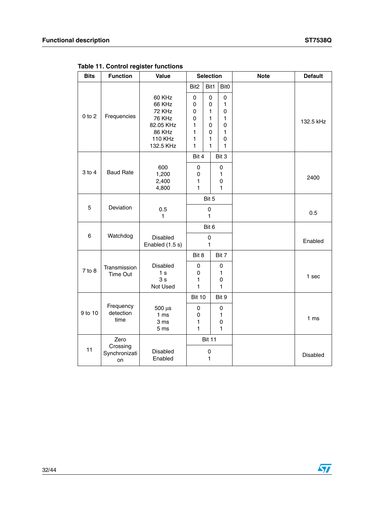| <b>Bits</b> | <b>Function</b>                 | Value                                                                                             | <b>Selection</b>                                 |                                      |                                                                    | <b>Note</b> | <b>Default</b>  |
|-------------|---------------------------------|---------------------------------------------------------------------------------------------------|--------------------------------------------------|--------------------------------------|--------------------------------------------------------------------|-------------|-----------------|
|             |                                 |                                                                                                   | Bit <sub>2</sub>                                 | Bit1                                 | Bit <sub>0</sub>                                                   |             |                 |
| $0$ to $2$  | Frequencies                     | 60 KHz<br>66 KHz<br>72 KHz<br><b>76 KHz</b><br>82.05 KHz<br>86 KHz<br><b>110 KHz</b><br>132.5 KHz | 0<br>0<br>0<br>$\mathsf 0$<br>1<br>1<br>1<br>1   | 0<br>0<br>1<br>1<br>0<br>0<br>1<br>1 | 0<br>1<br>$\mathbf 0$<br>1<br>$\mathbf 0$<br>1<br>$\mathbf 0$<br>1 |             | 132.5 kHz       |
|             |                                 |                                                                                                   | Bit 4                                            |                                      | Bit 3                                                              |             |                 |
| $3$ to $4$  | <b>Baud Rate</b>                | 600<br>1,200<br>2,400<br>4,800                                                                    | 0<br>0<br>1<br>1                                 |                                      | 0<br>1<br>0<br>1                                                   |             | 2400            |
|             |                                 |                                                                                                   |                                                  | Bit 5                                |                                                                    |             |                 |
| 5           | Deviation                       | 0.5<br>1                                                                                          |                                                  | $\mathbf 0$<br>1                     |                                                                    |             | 0.5             |
|             |                                 |                                                                                                   |                                                  | Bit 6                                |                                                                    |             |                 |
| $\,6\,$     | Watchdog                        | <b>Disabled</b><br>Enabled (1.5 s)                                                                | $\mathbf 0$<br>1                                 |                                      |                                                                    |             | Enabled         |
|             |                                 |                                                                                                   | Bit 8                                            |                                      | Bit 7                                                              |             |                 |
| 7 to 8      | Transmission<br>Time Out        | Disabled<br>1 <sub>s</sub><br>3s<br>Not Used                                                      | 0<br>0<br>1<br>1                                 |                                      | 0<br>1<br>0<br>$\mathbf{1}$                                        |             | 1 sec           |
|             |                                 |                                                                                                   | <b>Bit 10</b>                                    |                                      | Bit 9                                                              |             |                 |
| 9 to 10     | Frequency<br>detection<br>time  | 500 µs<br>1 <sub>ms</sub><br>3 ms<br>5 <sub>ms</sub>                                              | 0<br>$\mathsf 0$<br>$\mathbf{1}$<br>$\mathbf{1}$ |                                      | 0<br>1<br>0<br>$\mathbf{1}$                                        |             | 1 <sub>ms</sub> |
|             | Zero                            |                                                                                                   |                                                  | <b>Bit 11</b>                        |                                                                    |             |                 |
| 11          | Crossing<br>Synchronizati<br>on | Disabled<br>Enabled                                                                               |                                                  | $\pmb{0}$<br>1                       |                                                                    |             | Disabled        |

**Table 11. Control register functions** 

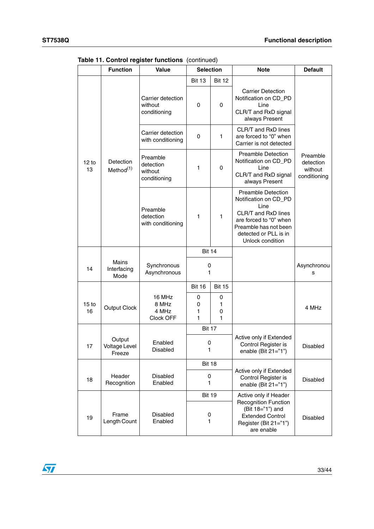|                        | <b>Function</b>                     | Value                                            | <b>Selection</b>        |                  | <b>Note</b>                                                                                                                                                                       | <b>Default</b>                                   |
|------------------------|-------------------------------------|--------------------------------------------------|-------------------------|------------------|-----------------------------------------------------------------------------------------------------------------------------------------------------------------------------------|--------------------------------------------------|
|                        |                                     |                                                  | <b>Bit 13</b>           | <b>Bit 12</b>    |                                                                                                                                                                                   |                                                  |
|                        |                                     | Carrier detection<br>without<br>conditioning     | 0                       | 0                | <b>Carrier Detection</b><br>Notification on CD_PD<br>Line<br>CLR/T and RxD signal<br>always Present                                                                               |                                                  |
|                        |                                     | Carrier detection<br>with conditioning           | 0                       | 1                | CLR/T and RxD lines<br>are forced to "0" when<br>Carrier is not detected                                                                                                          |                                                  |
| 12 to<br>13            | Detection<br>Method <sup>(1)</sup>  | Preamble<br>detection<br>without<br>conditioning | 1                       | 0                | <b>Preamble Detection</b><br>Notification on CD_PD<br>Line<br>CLR/T and RxD signal<br>always Present                                                                              | Preamble<br>detection<br>without<br>conditioning |
|                        |                                     | Preamble<br>detection<br>with conditioning       | 1                       | $\mathbf{1}$     | <b>Preamble Detection</b><br>Notification on CD_PD<br>Line<br>CLR/T and RxD lines<br>are forced to "0" when<br>Preamble has not been<br>detected or PLL is in<br>Unlock condition |                                                  |
|                        |                                     |                                                  | <b>Bit 14</b>           |                  |                                                                                                                                                                                   |                                                  |
| 14                     | <b>Mains</b><br>Interfacing<br>Mode | Synchronous<br>Asynchronous                      | 0<br>1                  |                  |                                                                                                                                                                                   | Asynchronou<br>S                                 |
|                        |                                     |                                                  | <b>Bit 16</b>           | <b>Bit 15</b>    |                                                                                                                                                                                   |                                                  |
| 15 <sub>to</sub><br>16 | <b>Output Clock</b>                 | 16 MHz<br>8 MHz<br>4 MHz<br>Clock OFF            | 0<br>0<br>1<br>1        | 0<br>1<br>0<br>1 |                                                                                                                                                                                   | 4 MHz                                            |
|                        |                                     |                                                  | <b>Bit 17</b>           |                  |                                                                                                                                                                                   |                                                  |
| 17                     | Output<br>Voltage Level<br>Freeze   | Enabled<br>Disabled                              | 0<br>1                  |                  | Active only if Extended<br>Control Register is<br>enable (Bit 21="1")                                                                                                             | Disabled                                         |
|                        |                                     |                                                  | <b>Bit 18</b>           |                  |                                                                                                                                                                                   |                                                  |
| 18                     | Header<br>Recognition               | Disabled<br>Enabled                              | 0<br>1                  |                  | Active only if Extended<br>Control Register is<br>enable (Bit $21="1"$ )                                                                                                          | Disabled                                         |
| 19                     | Frame                               | <b>Disabled</b>                                  | <b>Bit 19</b><br>0<br>1 |                  | Active only if Header<br><b>Recognition Function</b><br>(Bit 18="1") and<br><b>Extended Control</b>                                                                               | <b>Disabled</b>                                  |
|                        | Length Count                        | Enabled                                          |                         |                  | Register (Bit 21="1")<br>are enable                                                                                                                                               |                                                  |

**Table 11. Control register functions** (continued)

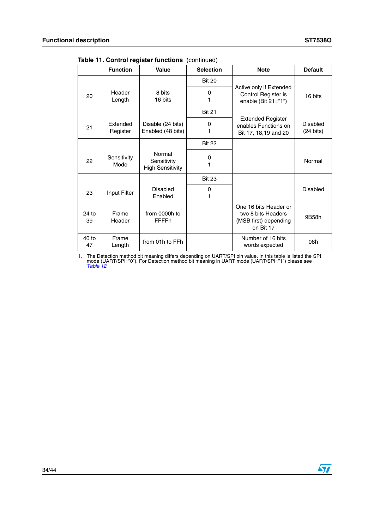$\sqrt{2}$ 

|               | <b>Function</b>      | Value                                            | <b>Selection</b> | <b>Note</b>                                                                       | <b>Default</b>                  |
|---------------|----------------------|--------------------------------------------------|------------------|-----------------------------------------------------------------------------------|---------------------------------|
|               |                      |                                                  | <b>Bit 20</b>    |                                                                                   |                                 |
| 20            | Header<br>Length     | 8 bits<br>16 bits                                | 0<br>1           | Active only if Extended<br>Control Register is<br>enable (Bit $21="1"$ )          | 16 bits                         |
|               |                      |                                                  | <b>Bit 21</b>    |                                                                                   |                                 |
| 21            | Extended<br>Register | Disable (24 bits)<br>Enabled (48 bits)           | 0<br>1           | <b>Extended Register</b><br>enables Functions on<br>Bit 17, 18,19 and 20          | Disabled<br>$(24 \text{ bits})$ |
|               |                      |                                                  | <b>Bit 22</b>    |                                                                                   |                                 |
| 22            | Sensitivity<br>Mode  | Normal<br>Sensitivity<br><b>High Sensitivity</b> | 0                |                                                                                   | Normal                          |
|               |                      |                                                  | <b>Bit 23</b>    |                                                                                   |                                 |
| 23            | Input Filter         | Disabled<br>Enabled                              | 0<br>1           |                                                                                   | Disabled                        |
| 24 to<br>39   | Frame<br>Header      | from 0000h to<br><b>FFFFh</b>                    |                  | One 16 bits Header or<br>two 8 bits Headers<br>(MSB first) depending<br>on Bit 17 | 9B58h                           |
| $40$ to<br>47 | Frame<br>Length      | from 01h to FFh                                  |                  | Number of 16 bits<br>words expected                                               | 08h                             |

**Table 11. Control register functions** (continued)

1. The Detection method bit meaning differs depending on UART/SPI pin value. In this table is listed the SPI mode (UART/SPI="0"). For Detection method bit meaning in UART mode (UART/SPI="1") please see *Table 12*.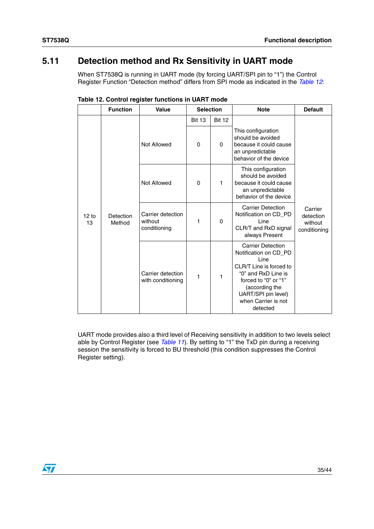### <span id="page-34-0"></span>**5.11 Detection method and Rx Sensitivity in UART mode**

When ST7538Q is running in UART mode (by forcing UART/SPI pin to "1") the Control Register Function "Detection method" differs from SPI mode as indicated in the *Table 12*:

|             | <b>Function</b>     | Value                                        | <b>Selection</b> |               | <b>Note</b>                                                                                                                                                                                                     | <b>Default</b>                                  |
|-------------|---------------------|----------------------------------------------|------------------|---------------|-----------------------------------------------------------------------------------------------------------------------------------------------------------------------------------------------------------------|-------------------------------------------------|
|             |                     |                                              | <b>Bit 13</b>    | <b>Bit 12</b> |                                                                                                                                                                                                                 |                                                 |
| 12 to<br>13 | Detection<br>Method | Not Allowed                                  | $\Omega$         | 0             | This configuration<br>should be avoided<br>because it could cause<br>an unpredictable<br>behavior of the device                                                                                                 | Carrier<br>detection<br>without<br>conditioning |
|             |                     | Not Allowed                                  | $\Omega$         | 1             | This configuration<br>should be avoided<br>because it could cause<br>an unpredictable<br>behavior of the device                                                                                                 |                                                 |
|             |                     | Carrier detection<br>without<br>conditioning | 1                | 0             | <b>Carrier Detection</b><br>Notification on CD_PD<br>Line<br>CLR/T and RxD signal<br>always Present                                                                                                             |                                                 |
|             |                     | Carrier detection<br>with conditioning       | 1                | 1             | <b>Carrier Detection</b><br>Notification on CD PD<br>Line<br>CLR/T Line is forced to<br>"0" and RxD Line is<br>forced to "0" or "1"<br>(according the<br>UART/SPI pin level)<br>when Carrier is not<br>detected |                                                 |

**Table 12. Control register functions in UART mode**

UART mode provides also a third level of Receiving sensitivity in addition to two levels select able by Control Register (see *Table 11*). By setting to "1" the TxD pin during a receiving session the sensitivity is forced to BU threshold (this condition suppresses the Control Register setting).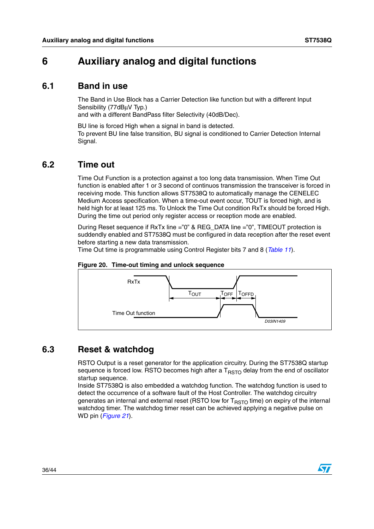## <span id="page-35-0"></span>**6 Auxiliary analog and digital functions**

### <span id="page-35-1"></span>**6.1 Band in use**

The Band in Use Block has a Carrier Detection like function but with a different Input Sensibility (77dBuV Typ.)

and with a different BandPass filter Selectivity (40dB/Dec).

BU line is forced High when a signal in band is detected. To prevent BU line false transition, BU signal is conditioned to Carrier Detection Internal Signal.

### <span id="page-35-2"></span>**6.2 Time out**

Time Out Function is a protection against a too long data transmission. When Time Out function is enabled after 1 or 3 second of continuos transmission the transceiver is forced in receiving mode. This function allows ST7538Q to automatically manage the CENELEC Medium Access specification. When a time-out event occur, TOUT is forced high, and is held high for at least 125 ms. To Unlock the Time Out condition RxTx should be forced High. During the time out period only register access or reception mode are enabled.

During Reset sequence if RxTx line ="0" & REG DATA line ="0", TIMEOUT protection is suddendly enabled and ST7538Q must be configured in data reception after the reset event before starting a new data transmission.

Time Out time is programmable using Control Register bits 7 and 8 (*Table 11*).

<span id="page-35-4"></span>



### <span id="page-35-3"></span>**6.3 Reset & watchdog**

RSTO Output is a reset generator for the application circuitry. During the ST7538Q startup sequence is forced low. RSTO becomes high after a  $T<sub>RSTO</sub>$  delay from the end of oscillator startup sequence.

Inside ST7538Q is also embedded a watchdog function. The watchdog function is used to detect the occurrence of a software fault of the Host Controller. The watchdog circuitry generates an internal and external reset (RSTO low for  $T<sub>RSTO</sub>$  time) on expiry of the internal watchdog timer. The watchdog timer reset can be achieved applying a negative pulse on WD pin (*[Figure 21](#page-36-1)*).

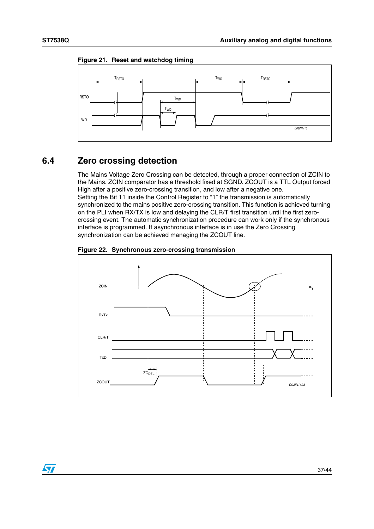$\sqrt{}$ 



<span id="page-36-1"></span>**Figure 21. Reset and watchdog timing**

### <span id="page-36-0"></span>**6.4 Zero crossing detection**

The Mains Voltage Zero Crossing can be detected, through a proper connection of ZCIN to the Mains. ZCIN comparator has a threshold fixed at SGND. ZCOUT is a TTL Output forced High after a positive zero-crossing transition, and low after a negative one. Setting the Bit 11 inside the Control Register to "1" the transmission is automatically synchronized to the mains positive zero-crossing transition. This function is achieved turning on the PLI when RX/TX is low and delaying the CLR/T first transition until the first zerocrossing event. The automatic synchronization procedure can work only if the synchronous interface is programmed. If asynchronous interface is in use the Zero Crossing synchronization can be achieved managing the ZCOUT line.

<span id="page-36-2"></span>

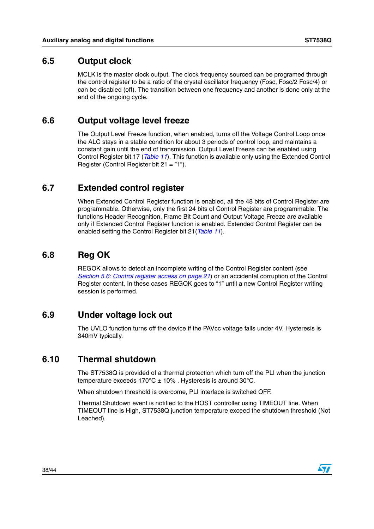### <span id="page-37-0"></span>**6.5 Output clock**

MCLK is the master clock output. The clock frequency sourced can be programed through the control register to be a ratio of the crystal oscillator frequency (Fosc, Fosc/2 Fosc/4) or can be disabled (off). The transition between one frequency and another is done only at the end of the ongoing cycle.

### <span id="page-37-1"></span>**6.6 Output voltage level freeze**

The Output Level Freeze function, when enabled, turns off the Voltage Control Loop once the ALC stays in a stable condition for about 3 periods of control loop, and maintains a constant gain until the end of transmission. Output Level Freeze can be enabled using Control Register bit 17 (*Table 11*). This function is available only using the Extended Control Register (Control Register bit 21 = "1").

### <span id="page-37-2"></span>**6.7 Extended control register**

When Extended Control Register function is enabled, all the 48 bits of Control Register are programmable. Otherwise, only the first 24 bits of Control Register are programmable. The functions Header Recognition, Frame Bit Count and Output Voltage Freeze are available only if Extended Control Register function is enabled. Extended Control Register can be enabled setting the Control Register bit 21(*Table 11*).

### <span id="page-37-3"></span>**6.8 Reg OK**

REGOK allows to detect an incomplete writing of the Control Register content (see *[Section 5.6: Control register access on page 21](#page-20-0)*) or an accidental corruption of the Control Register content. In these cases REGOK goes to "1" until a new Control Register writing session is performed.

### <span id="page-37-4"></span>**6.9 Under voltage lock out**

The UVLO function turns off the device if the PAVcc voltage falls under 4V. Hysteresis is 340mV typically.

### <span id="page-37-5"></span>**6.10 Thermal shutdown**

The ST7538Q is provided of a thermal protection which turn off the PLI when the junction temperature exceeds  $170^{\circ}$ C  $\pm$  10%. Hysteresis is around 30°C.

When shutdown threshold is overcome, PLI interface is switched OFF.

Thermal Shutdown event is notified to the HOST controller using TIMEOUT line. When TIMEOUT line is High, ST7538Q junction temperature exceed the shutdown threshold (Not Leached).

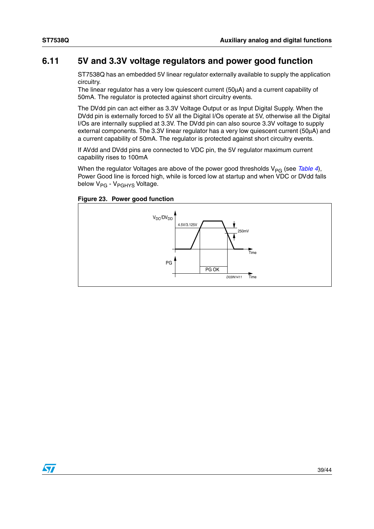$\sqrt{}$ 

### <span id="page-38-0"></span>**6.11 5V and 3.3V voltage regulators and power good function**

ST7538Q has an embedded 5V linear regulator externally available to supply the application circuitry.

The linear regulator has a very low quiescent current (50µA) and a current capability of 50mA. The regulator is protected against short circuitry events.

The DVdd pin can act either as 3.3V Voltage Output or as Input Digital Supply. When the DVdd pin is externally forced to 5V all the Digital I/Os operate at 5V, otherwise all the Digital I/Os are internally supplied at 3.3V. The DVdd pin can also source 3.3V voltage to supply external components. The 3.3V linear regulator has a very low quiescent current (50µA) and a current capability of 50mA. The regulator is protected against short circuitry events.

If AVdd and DVdd pins are connected to VDC pin, the 5V regulator maximum current capability rises to 100mA

When the regulator Voltages are above of the power good thresholds V<sub>PG</sub> (see *Table 4*), Power Good line is forced high, while is forced low at startup and when VDC or DVdd falls below V<sub>PG</sub> - V<sub>PGHYS</sub> Voltage.

**Figure 23. Power good function**

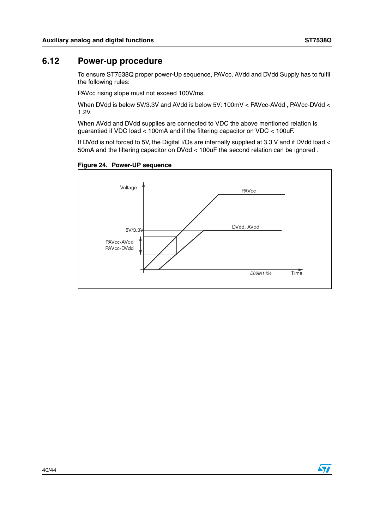### <span id="page-39-0"></span>**6.12 Power-up procedure**

To ensure ST7538Q proper power-Up sequence, PAVcc, AVdd and DVdd Supply has to fulfil the following rules:

PAVcc rising slope must not exceed 100V/ms.

When DVdd is below 5V/3.3V and AVdd is below 5V: 100mV < PAVcc-AVdd, PAVcc-DVdd < 1.2V.

When AVdd and DVdd supplies are connected to VDC the above mentioned relation is guarantied if VDC load < 100mA and if the filtering capacitor on VDC < 100uF.

If DVdd is not forced to 5V, the Digital I/Os are internally supplied at 3.3 V and if DVdd load < 50mA and the filtering capacitor on DVdd < 100uF the second relation can be ignored .

**Figure 24. Power-UP sequence**



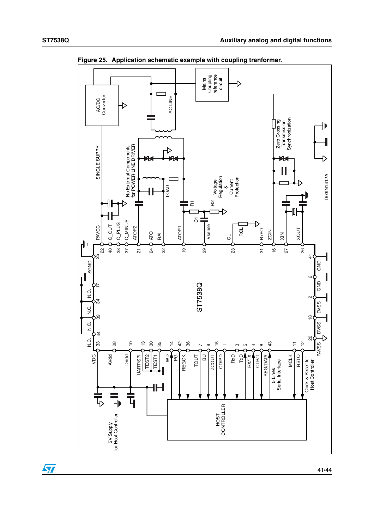$\sqrt{2}$ 



**Figure 25. Application schematic example with coupling tranformer.**

41/44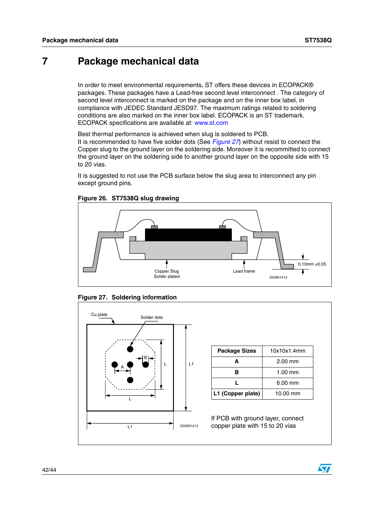## <span id="page-41-0"></span>**7 Package mechanical data**

In order to meet environmental requirements, ST offers these devices in ECOPACK® packages. These packages have a Lead-free second level interconnect . The category of second level interconnect is marked on the package and on the inner box label, in compliance with JEDEC Standard JESD97. The maximum ratings related to soldering conditions are also marked on the inner box label. ECOPACK is an ST trademark. ECOPACK specifications are available at: www.st.com

Best thermal performance is achieved when slug is soldered to PCB.

It is recommended to have five solder dots (See *[Figure 27](#page-41-1)*) without resist to connect the Copper slug to the ground layer on the soldering side. Moreover it is recommitted to connect the ground layer on the soldering side to another ground layer on the opposite side with 15 to 20 vias.

It is suggested to not use the PCB surface below the slug area to interconnect any pin except ground pins.



**Figure 26. ST7538Q slug drawing**

<span id="page-41-1"></span>



| <b>Package Sizes</b> | 10x10x1.4mm |
|----------------------|-------------|
| Δ                    | $2.00$ mm   |
| R                    | $1.00$ mm   |
|                      | $6.00$ mm   |
| L1 (Copper plate)    | 10.00 mm    |

If PCB with ground layer, connect copper plate with 15 to 20 vias

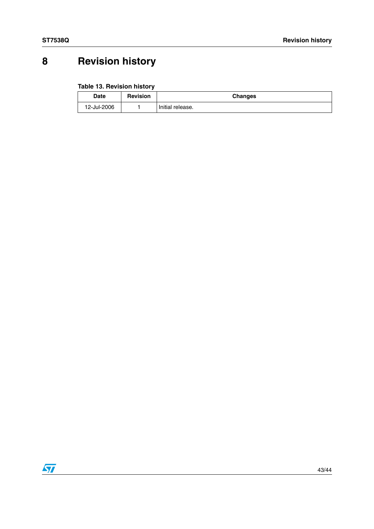# <span id="page-42-0"></span>**8 Revision history**

#### **Table 13. Revision history**

| Date        | <b>Revision</b> | <b>Changes</b>   |
|-------------|-----------------|------------------|
| 12-Jul-2006 |                 | Initial release. |